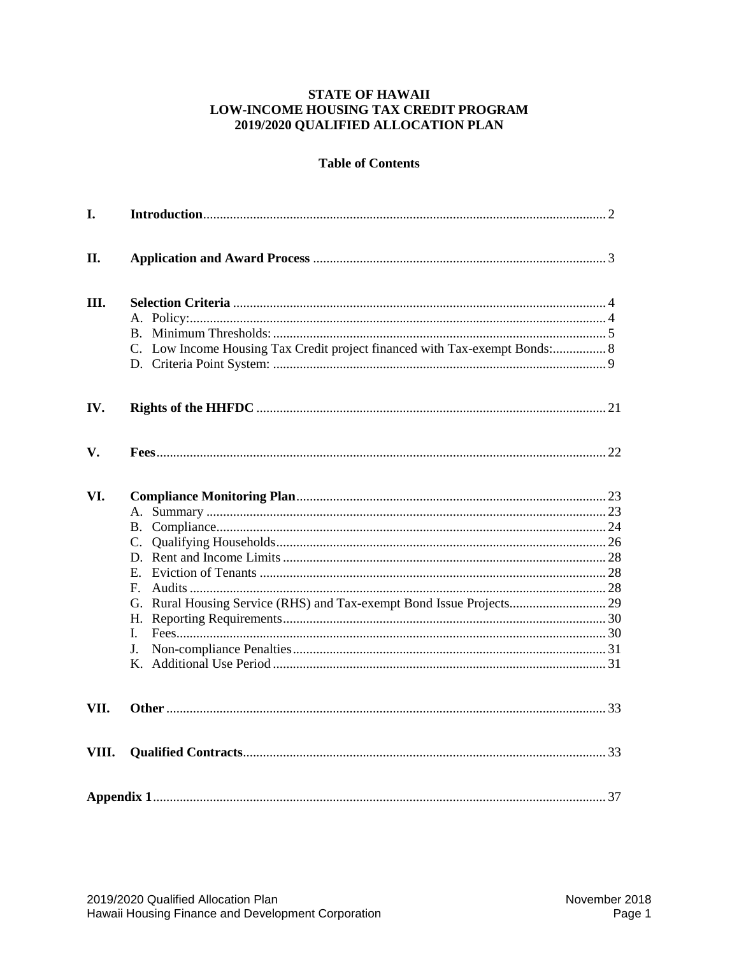## **STATE OF HAWAII** LOW-INCOME HOUSING TAX CREDIT PROGRAM 2019/2020 QUALIFIED ALLOCATION PLAN

# **Table of Contents**

| I.    |                                                                            |  |
|-------|----------------------------------------------------------------------------|--|
| II.   |                                                                            |  |
| Ш.    | C. Low Income Housing Tax Credit project financed with Tax-exempt Bonds: 8 |  |
| IV.   |                                                                            |  |
| V.    |                                                                            |  |
| VI.   | $F_{\perp}$<br>L<br>$\mathbf{J}$ .                                         |  |
| VII.  |                                                                            |  |
| VIII. |                                                                            |  |
|       |                                                                            |  |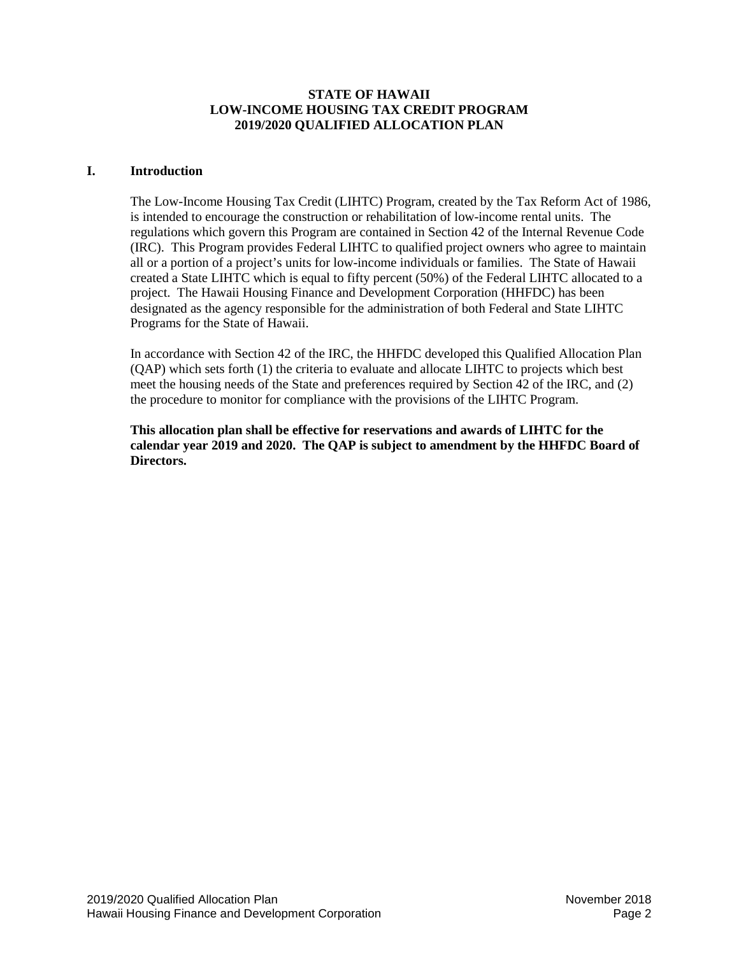## **STATE OF HAWAII LOW-INCOME HOUSING TAX CREDIT PROGRAM 2019/2020 QUALIFIED ALLOCATION PLAN**

#### <span id="page-1-0"></span>**I. Introduction**

The Low-Income Housing Tax Credit (LIHTC) Program, created by the Tax Reform Act of 1986, is intended to encourage the construction or rehabilitation of low-income rental units. The regulations which govern this Program are contained in Section 42 of the Internal Revenue Code (IRC). This Program provides Federal LIHTC to qualified project owners who agree to maintain all or a portion of a project's units for low-income individuals or families. The State of Hawaii created a State LIHTC which is equal to fifty percent (50%) of the Federal LIHTC allocated to a project. The Hawaii Housing Finance and Development Corporation (HHFDC) has been designated as the agency responsible for the administration of both Federal and State LIHTC Programs for the State of Hawaii.

In accordance with Section 42 of the IRC, the HHFDC developed this Qualified Allocation Plan (QAP) which sets forth (1) the criteria to evaluate and allocate LIHTC to projects which best meet the housing needs of the State and preferences required by Section 42 of the IRC, and (2) the procedure to monitor for compliance with the provisions of the LIHTC Program.

**This allocation plan shall be effective for reservations and awards of LIHTC for the calendar year 2019 and 2020. The QAP is subject to amendment by the HHFDC Board of Directors.**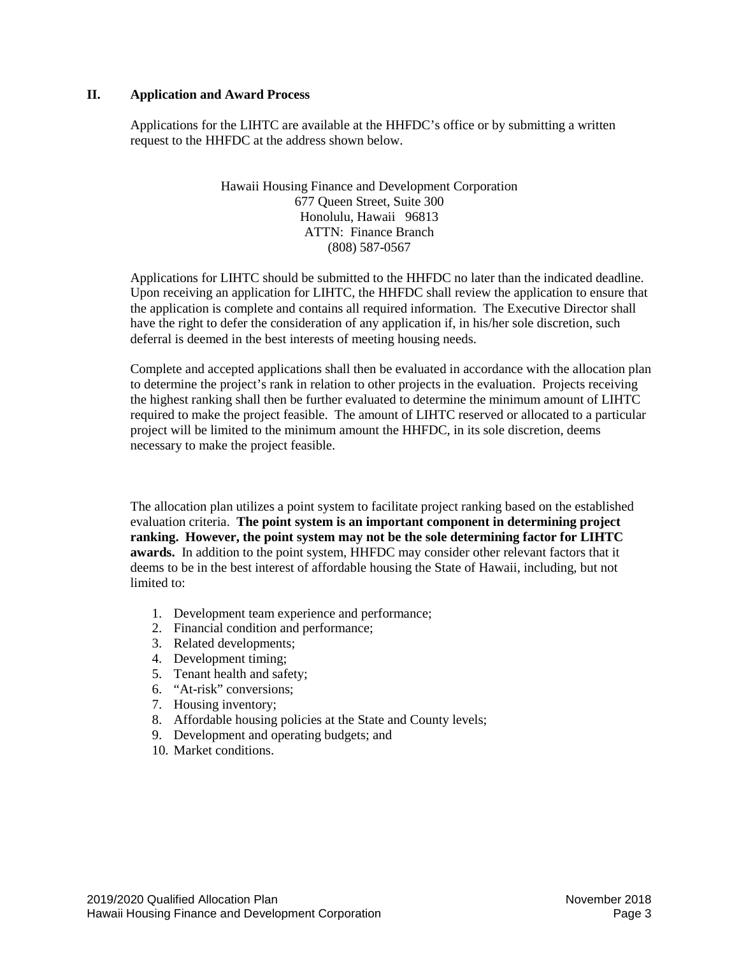## <span id="page-2-0"></span>**II. Application and Award Process**

Applications for the LIHTC are available at the HHFDC's office or by submitting a written request to the HHFDC at the address shown below.

> Hawaii Housing Finance and Development Corporation 677 Queen Street, Suite 300 Honolulu, Hawaii 96813 ATTN: Finance Branch (808) 587-0567

Applications for LIHTC should be submitted to the HHFDC no later than the indicated deadline. Upon receiving an application for LIHTC, the HHFDC shall review the application to ensure that the application is complete and contains all required information. The Executive Director shall have the right to defer the consideration of any application if, in his/her sole discretion, such deferral is deemed in the best interests of meeting housing needs.

Complete and accepted applications shall then be evaluated in accordance with the allocation plan to determine the project's rank in relation to other projects in the evaluation. Projects receiving the highest ranking shall then be further evaluated to determine the minimum amount of LIHTC required to make the project feasible. The amount of LIHTC reserved or allocated to a particular project will be limited to the minimum amount the HHFDC, in its sole discretion, deems necessary to make the project feasible.

The allocation plan utilizes a point system to facilitate project ranking based on the established evaluation criteria. **The point system is an important component in determining project ranking. However, the point system may not be the sole determining factor for LIHTC awards.** In addition to the point system, HHFDC may consider other relevant factors that it deems to be in the best interest of affordable housing the State of Hawaii, including, but not limited to:

- 1. Development team experience and performance;
- 2. Financial condition and performance;
- 3. Related developments;
- 4. Development timing;
- 5. Tenant health and safety;
- 6. "At-risk" conversions;
- 7. Housing inventory;
- 8. Affordable housing policies at the State and County levels;
- 9. Development and operating budgets; and
- 10. Market conditions.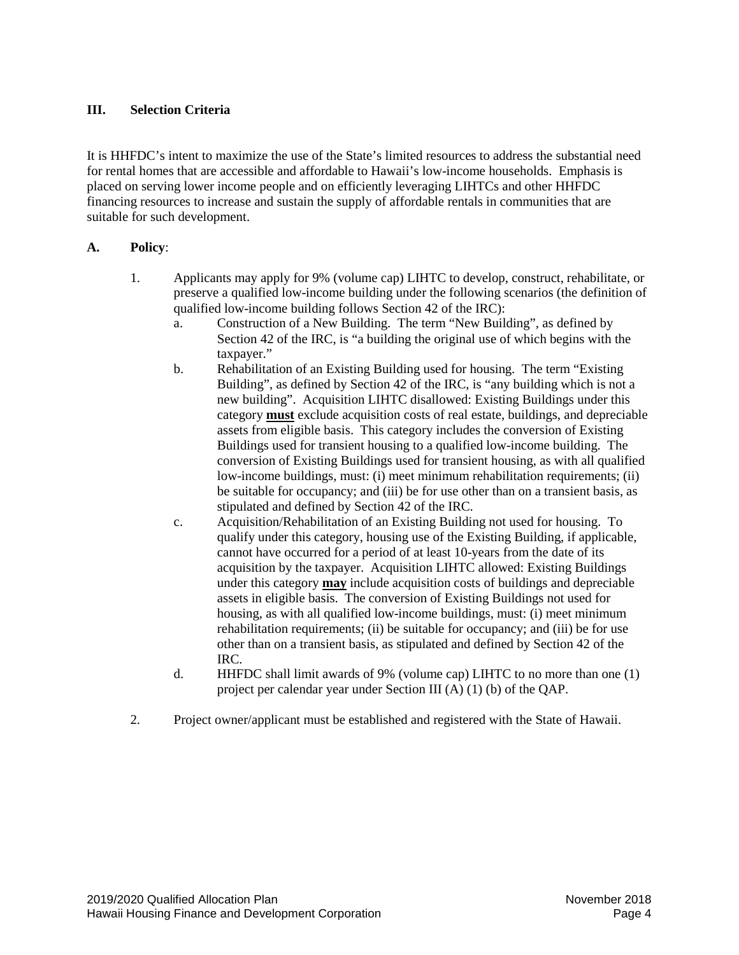# <span id="page-3-0"></span>**III. Selection Criteria**

It is HHFDC's intent to maximize the use of the State's limited resources to address the substantial need for rental homes that are accessible and affordable to Hawaii's low-income households. Emphasis is placed on serving lower income people and on efficiently leveraging LIHTCs and other HHFDC financing resources to increase and sustain the supply of affordable rentals in communities that are suitable for such development.

## <span id="page-3-1"></span>**A. Policy**:

- 1. Applicants may apply for 9% (volume cap) LIHTC to develop, construct, rehabilitate, or preserve a qualified low-income building under the following scenarios (the definition of qualified low-income building follows Section 42 of the IRC):
	- a. Construction of a New Building. The term "New Building", as defined by Section 42 of the IRC, is "a building the original use of which begins with the taxpayer."
	- b. Rehabilitation of an Existing Building used for housing. The term "Existing Building", as defined by Section 42 of the IRC, is "any building which is not a new building". Acquisition LIHTC disallowed: Existing Buildings under this category **must** exclude acquisition costs of real estate, buildings, and depreciable assets from eligible basis. This category includes the conversion of Existing Buildings used for transient housing to a qualified low-income building. The conversion of Existing Buildings used for transient housing, as with all qualified low-income buildings, must: (i) meet minimum rehabilitation requirements; (ii) be suitable for occupancy; and (iii) be for use other than on a transient basis, as stipulated and defined by Section 42 of the IRC.
	- c. Acquisition/Rehabilitation of an Existing Building not used for housing. To qualify under this category, housing use of the Existing Building, if applicable, cannot have occurred for a period of at least 10-years from the date of its acquisition by the taxpayer. Acquisition LIHTC allowed: Existing Buildings under this category **may** include acquisition costs of buildings and depreciable assets in eligible basis. The conversion of Existing Buildings not used for housing, as with all qualified low-income buildings, must: (i) meet minimum rehabilitation requirements; (ii) be suitable for occupancy; and (iii) be for use other than on a transient basis, as stipulated and defined by Section 42 of the IRC.
	- d. HHFDC shall limit awards of 9% (volume cap) LIHTC to no more than one (1) project per calendar year under Section III (A) (1) (b) of the QAP.
- <span id="page-3-2"></span>2. Project owner/applicant must be established and registered with the State of Hawaii.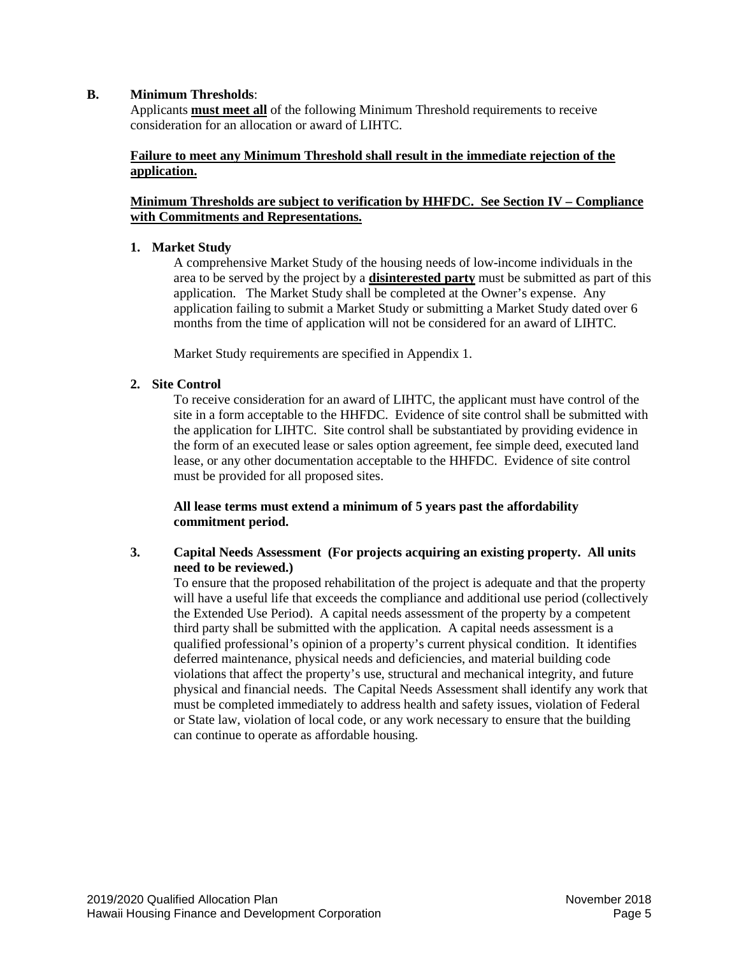## **B. Minimum Thresholds**:

Applicants **must meet all** of the following Minimum Threshold requirements to receive consideration for an allocation or award of LIHTC.

## **Failure to meet any Minimum Threshold shall result in the immediate rejection of the application.**

## **Minimum Thresholds are subject to verification by HHFDC. See Section IV – Compliance with Commitments and Representations.**

#### **1. Market Study**

A comprehensive Market Study of the housing needs of low-income individuals in the area to be served by the project by a **disinterested party** must be submitted as part of this application. The Market Study shall be completed at the Owner's expense. Any application failing to submit a Market Study or submitting a Market Study dated over 6 months from the time of application will not be considered for an award of LIHTC.

Market Study requirements are specified in Appendix 1.

## **2. Site Control**

To receive consideration for an award of LIHTC, the applicant must have control of the site in a form acceptable to the HHFDC. Evidence of site control shall be submitted with the application for LIHTC. Site control shall be substantiated by providing evidence in the form of an executed lease or sales option agreement, fee simple deed, executed land lease, or any other documentation acceptable to the HHFDC. Evidence of site control must be provided for all proposed sites.

## **All lease terms must extend a minimum of 5 years past the affordability commitment period.**

## **3. Capital Needs Assessment (For projects acquiring an existing property. All units need to be reviewed.)**

To ensure that the proposed rehabilitation of the project is adequate and that the property will have a useful life that exceeds the compliance and additional use period (collectively the Extended Use Period). A capital needs assessment of the property by a competent third party shall be submitted with the application. A capital needs assessment is a qualified professional's opinion of a property's current physical condition. It identifies deferred maintenance, physical needs and deficiencies, and material building code violations that affect the property's use, structural and mechanical integrity, and future physical and financial needs. The Capital Needs Assessment shall identify any work that must be completed immediately to address health and safety issues, violation of Federal or State law, violation of local code, or any work necessary to ensure that the building can continue to operate as affordable housing.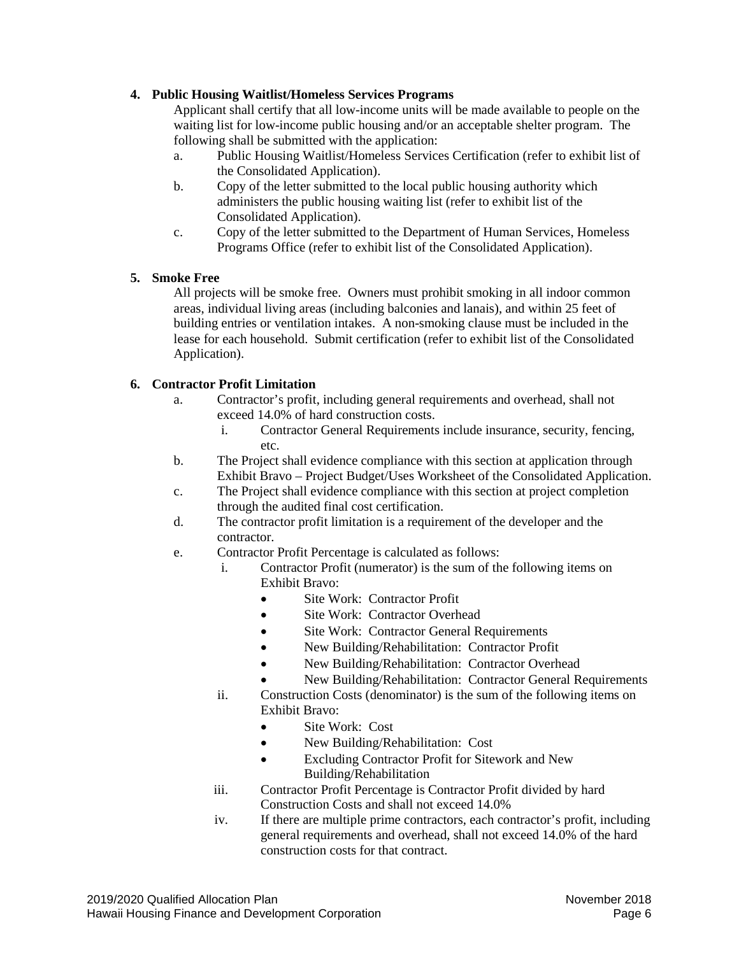# **4. Public Housing Waitlist/Homeless Services Programs**

Applicant shall certify that all low-income units will be made available to people on the waiting list for low-income public housing and/or an acceptable shelter program. The following shall be submitted with the application:

- a. Public Housing Waitlist/Homeless Services Certification (refer to exhibit list of the Consolidated Application).
- b. Copy of the letter submitted to the local public housing authority which administers the public housing waiting list (refer to exhibit list of the Consolidated Application).
- c. Copy of the letter submitted to the Department of Human Services, Homeless Programs Office (refer to exhibit list of the Consolidated Application).

# **5. Smoke Free**

All projects will be smoke free. Owners must prohibit smoking in all indoor common areas, individual living areas (including balconies and lanais), and within 25 feet of building entries or ventilation intakes. A non-smoking clause must be included in the lease for each household. Submit certification (refer to exhibit list of the Consolidated Application).

# **6. Contractor Profit Limitation**

- a. Contractor's profit, including general requirements and overhead, shall not exceed 14.0% of hard construction costs.
	- i. Contractor General Requirements include insurance, security, fencing, etc.
- b. The Project shall evidence compliance with this section at application through Exhibit Bravo – Project Budget/Uses Worksheet of the Consolidated Application.
- c. The Project shall evidence compliance with this section at project completion through the audited final cost certification.
- d. The contractor profit limitation is a requirement of the developer and the contractor.
- e. Contractor Profit Percentage is calculated as follows:
	- i. Contractor Profit (numerator) is the sum of the following items on Exhibit Bravo:
		- Site Work: Contractor Profit
		- Site Work: Contractor Overhead
		- Site Work: Contractor General Requirements
		- New Building/Rehabilitation: Contractor Profit
		- New Building/Rehabilitation: Contractor Overhead
		- New Building/Rehabilitation: Contractor General Requirements
	- ii. Construction Costs (denominator) is the sum of the following items on Exhibit Bravo:
		- Site Work: Cost
		- New Building/Rehabilitation: Cost
		- Excluding Contractor Profit for Sitework and New Building/Rehabilitation
	- iii. Contractor Profit Percentage is Contractor Profit divided by hard Construction Costs and shall not exceed 14.0%
	- iv. If there are multiple prime contractors, each contractor's profit, including general requirements and overhead, shall not exceed 14.0% of the hard construction costs for that contract.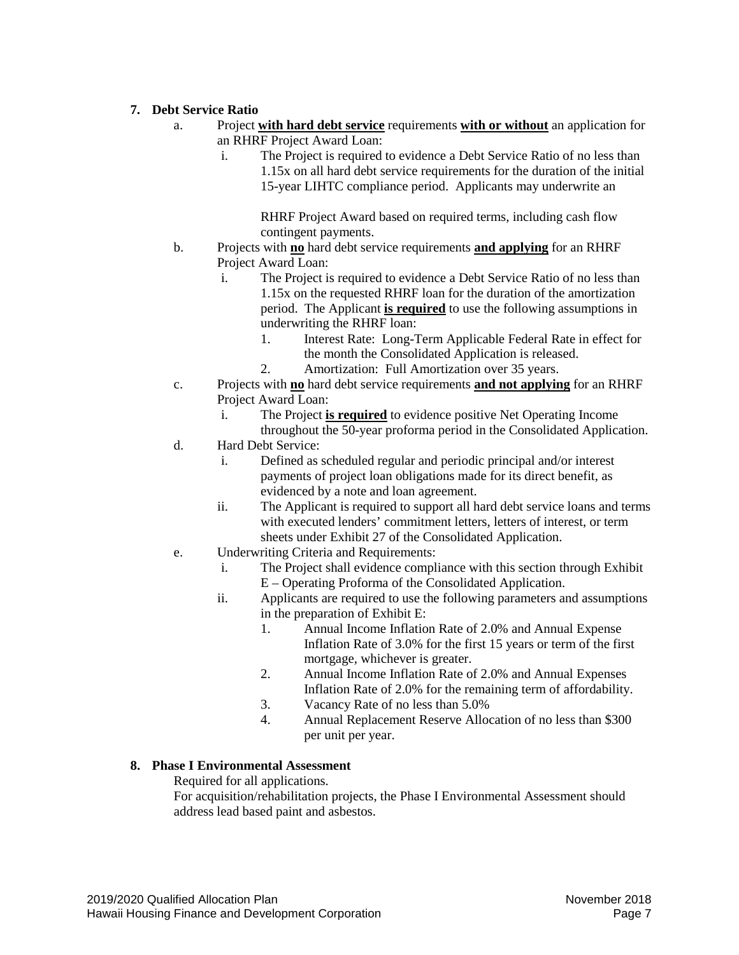# **7. Debt Service Ratio**

- a. Project **with hard debt service** requirements **with or without** an application for an RHRF Project Award Loan:
	- i. The Project is required to evidence a Debt Service Ratio of no less than 1.15x on all hard debt service requirements for the duration of the initial 15-year LIHTC compliance period. Applicants may underwrite an

RHRF Project Award based on required terms, including cash flow contingent payments.

- b. Projects with **no** hard debt service requirements **and applying** for an RHRF Project Award Loan:
	- i. The Project is required to evidence a Debt Service Ratio of no less than 1.15x on the requested RHRF loan for the duration of the amortization period. The Applicant **is required** to use the following assumptions in underwriting the RHRF loan:
		- 1. Interest Rate: Long-Term Applicable Federal Rate in effect for the month the Consolidated Application is released.
		- 2. Amortization: Full Amortization over 35 years.
- c. Projects with **no** hard debt service requirements **and not applying** for an RHRF Project Award Loan:
	- i. The Project **is required** to evidence positive Net Operating Income
- throughout the 50-year proforma period in the Consolidated Application. d. Hard Debt Service:
	- i. Defined as scheduled regular and periodic principal and/or interest payments of project loan obligations made for its direct benefit, as evidenced by a note and loan agreement.
	- ii. The Applicant is required to support all hard debt service loans and terms with executed lenders' commitment letters, letters of interest, or term sheets under Exhibit 27 of the Consolidated Application.
- e. Underwriting Criteria and Requirements:
	- i. The Project shall evidence compliance with this section through Exhibit E – Operating Proforma of the Consolidated Application.
	- ii. Applicants are required to use the following parameters and assumptions in the preparation of Exhibit E:
		- 1. Annual Income Inflation Rate of 2.0% and Annual Expense Inflation Rate of 3.0% for the first 15 years or term of the first mortgage, whichever is greater.
		- 2. Annual Income Inflation Rate of 2.0% and Annual Expenses Inflation Rate of 2.0% for the remaining term of affordability.
		- 3. Vacancy Rate of no less than 5.0%
		- 4. Annual Replacement Reserve Allocation of no less than \$300 per unit per year.

# **8. Phase I Environmental Assessment**

Required for all applications.

For acquisition/rehabilitation projects, the Phase I Environmental Assessment should address lead based paint and asbestos.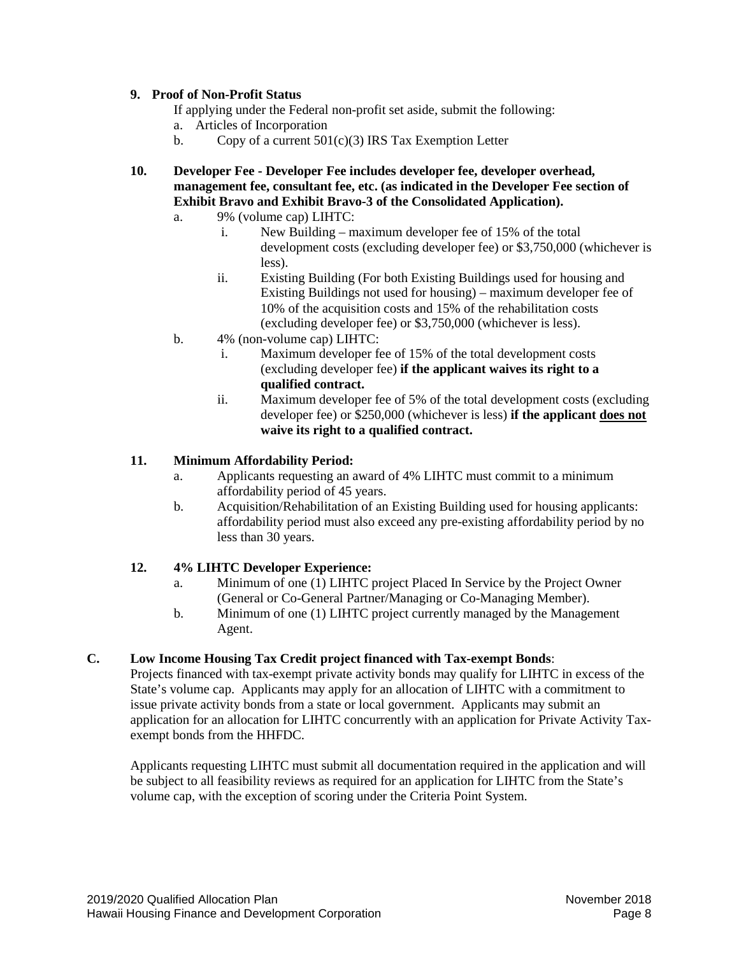## **9. Proof of Non-Profit Status**

If applying under the Federal non-profit set aside, submit the following:

- a. Articles of Incorporation
- b. Copy of a current  $501(c)(3)$  IRS Tax Exemption Letter
- **10. Developer Fee - Developer Fee includes developer fee, developer overhead, management fee, consultant fee, etc. (as indicated in the Developer Fee section of Exhibit Bravo and Exhibit Bravo-3 of the Consolidated Application).**
	- a. 9% (volume cap) LIHTC:
		- i. New Building maximum developer fee of 15% of the total development costs (excluding developer fee) or \$3,750,000 (whichever is less).
		- ii. Existing Building (For both Existing Buildings used for housing and Existing Buildings not used for housing) – maximum developer fee of 10% of the acquisition costs and 15% of the rehabilitation costs (excluding developer fee) or \$3,750,000 (whichever is less).
	- b. 4% (non-volume cap) LIHTC:
		- i. Maximum developer fee of 15% of the total development costs (excluding developer fee) **if the applicant waives its right to a qualified contract.**
		- ii. Maximum developer fee of 5% of the total development costs (excluding developer fee) or \$250,000 (whichever is less) **if the applicant does not waive its right to a qualified contract.**

## **11. Minimum Affordability Period:**

- a. Applicants requesting an award of 4% LIHTC must commit to a minimum affordability period of 45 years.
- b. Acquisition/Rehabilitation of an Existing Building used for housing applicants: affordability period must also exceed any pre-existing affordability period by no less than 30 years.

# **12. 4% LIHTC Developer Experience:**

- a. Minimum of one (1) LIHTC project Placed In Service by the Project Owner (General or Co-General Partner/Managing or Co-Managing Member).
- b. Minimum of one (1) LIHTC project currently managed by the Management Agent.

# <span id="page-7-0"></span>**C. Low Income Housing Tax Credit project financed with Tax-exempt Bonds**:

Projects financed with tax-exempt private activity bonds may qualify for LIHTC in excess of the State's volume cap. Applicants may apply for an allocation of LIHTC with a commitment to issue private activity bonds from a state or local government. Applicants may submit an application for an allocation for LIHTC concurrently with an application for Private Activity Taxexempt bonds from the HHFDC.

Applicants requesting LIHTC must submit all documentation required in the application and will be subject to all feasibility reviews as required for an application for LIHTC from the State's volume cap, with the exception of scoring under the Criteria Point System.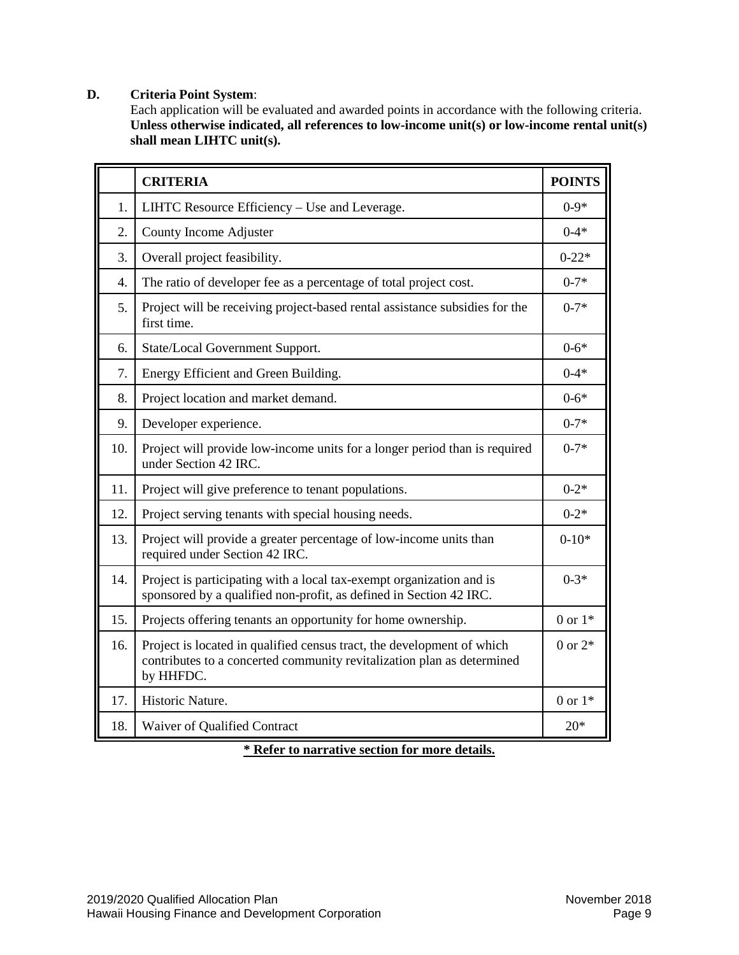# <span id="page-8-0"></span>**D. Criteria Point System**:

Each application will be evaluated and awarded points in accordance with the following criteria. Unless otherwise indicated, all references to low-income unit(s) or low-income rental unit(s) **shall mean LIHTC unit(s).**

|     | <b>CRITERIA</b>                                                                                                                                               | <b>POINTS</b> |
|-----|---------------------------------------------------------------------------------------------------------------------------------------------------------------|---------------|
| 1.  | LIHTC Resource Efficiency – Use and Leverage.                                                                                                                 | $0 - 9*$      |
| 2.  | County Income Adjuster                                                                                                                                        | $0 - 4*$      |
| 3.  | Overall project feasibility.                                                                                                                                  | $0 - 22*$     |
| 4.  | The ratio of developer fee as a percentage of total project cost.                                                                                             | $0 - 7*$      |
| 5.  | Project will be receiving project-based rental assistance subsidies for the<br>first time.                                                                    | $0 - 7*$      |
| 6.  | State/Local Government Support.                                                                                                                               | $0 - 6*$      |
| 7.  | Energy Efficient and Green Building.                                                                                                                          | $0 - 4*$      |
| 8.  | Project location and market demand.                                                                                                                           | $0 - 6*$      |
| 9.  | Developer experience.                                                                                                                                         | $0 - 7*$      |
| 10. | Project will provide low-income units for a longer period than is required<br>under Section 42 IRC.                                                           | $0 - 7*$      |
| 11. | Project will give preference to tenant populations.                                                                                                           | $0 - 2*$      |
| 12. | Project serving tenants with special housing needs.                                                                                                           | $0 - 2*$      |
| 13. | Project will provide a greater percentage of low-income units than<br>required under Section 42 IRC.                                                          | $0 - 10*$     |
| 14. | Project is participating with a local tax-exempt organization and is<br>sponsored by a qualified non-profit, as defined in Section 42 IRC.                    | $0 - 3*$      |
| 15. | Projects offering tenants an opportunity for home ownership.                                                                                                  | 0 or $1*$     |
| 16. | Project is located in qualified census tract, the development of which<br>contributes to a concerted community revitalization plan as determined<br>by HHFDC. | 0 or $2*$     |
| 17. | Historic Nature.                                                                                                                                              | 0 or $1*$     |
| 18. | Waiver of Qualified Contract                                                                                                                                  | $20*$         |

**\* Refer to narrative section for more details.**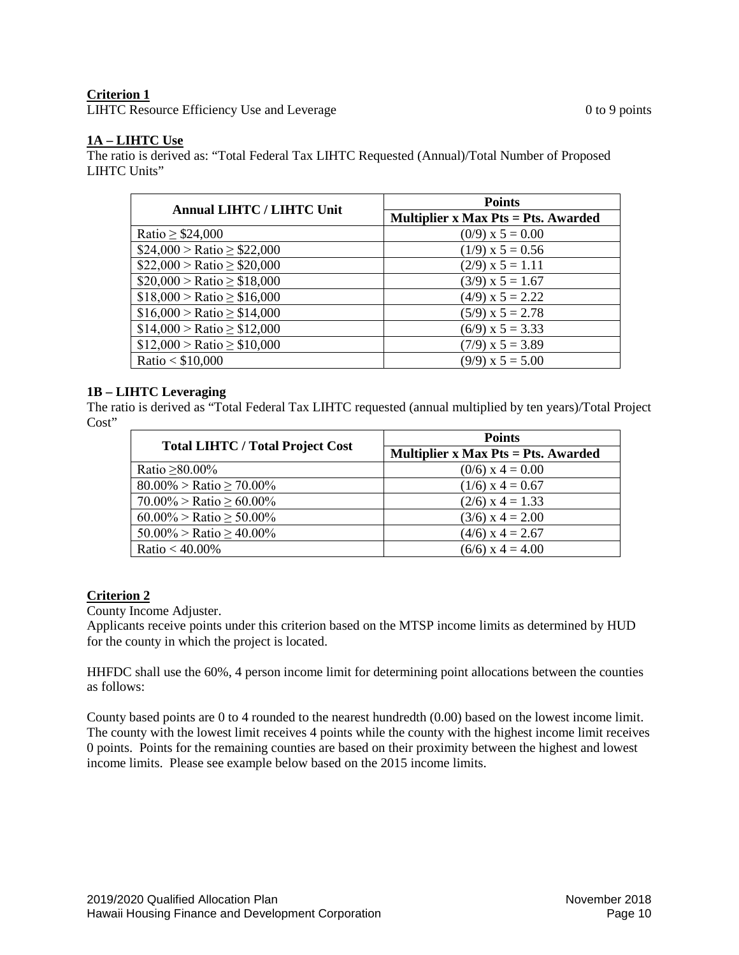# **Criterion 1**

LIHTC Resource Efficiency Use and Leverage 0 to 9 points 0 to 9 points

# **1A – LIHTC Use**

The ratio is derived as: "Total Federal Tax LIHTC Requested (Annual)/Total Number of Proposed LIHTC Units"

| <b>Annual LIHTC / LIHTC Unit</b>     | <b>Points</b>                              |
|--------------------------------------|--------------------------------------------|
|                                      | <b>Multiplier x Max Pts = Pts. Awarded</b> |
| Ratio $\geq$ \$24,000                | $(0/9)$ x 5 = 0.00                         |
| $$24,000 > \text{Ratio} \ge $22,000$ | $(1/9)$ x 5 = 0.56                         |
| $$22,000 > \text{Ratio} \ge $20,000$ | $(2/9)$ x 5 = 1.11                         |
| $$20,000 > \text{Ratio} \ge $18,000$ | $(3/9)$ x 5 = 1.67                         |
| $$18,000 > \text{Ratio} \ge $16,000$ | $(4/9)$ x 5 = 2.22                         |
| $$16,000 > \text{Ratio} \ge $14,000$ | $(5/9)$ x 5 = 2.78                         |
| $$14,000 > \text{Ratio} \ge $12,000$ | $(6/9)$ x 5 = 3.33                         |
| $$12,000 > \text{Ratio} \ge $10,000$ | $(7/9)$ x 5 = 3.89                         |
| Ratio < $$10,000$                    | $(9/9)$ x 5 = 5.00                         |

# **1B – LIHTC Leveraging**

The ratio is derived as "Total Federal Tax LIHTC requested (annual multiplied by ten years)/Total Project Cost"

|                                         | <b>Points</b>                       |
|-----------------------------------------|-------------------------------------|
| <b>Total LIHTC / Total Project Cost</b> | Multiplier x Max Pts = Pts. Awarded |
| Ratio $\geq 80.00\%$                    | $(0/6)$ x 4 = 0.00                  |
| $80.00\%$ > Ratio $\geq 70.00\%$        | $(1/6)$ x 4 = 0.67                  |
| $70.00\%$ > Ratio $\geq 60.00\%$        | $(2/6)$ x 4 = 1.33                  |
| $60.00\%$ > Ratio $\geq 50.00\%$        | $(3/6)$ x 4 = 2.00                  |
| $50.00\%$ > Ratio $\geq 40.00\%$        | $(4/6)$ x 4 = 2.67                  |
| Ratio < $40.00\%$                       | $(6/6)$ x 4 = 4.00                  |

# **Criterion 2**

County Income Adjuster.

Applicants receive points under this criterion based on the MTSP income limits as determined by HUD for the county in which the project is located.

HHFDC shall use the 60%, 4 person income limit for determining point allocations between the counties as follows:

County based points are 0 to 4 rounded to the nearest hundredth (0.00) based on the lowest income limit. The county with the lowest limit receives 4 points while the county with the highest income limit receives 0 points. Points for the remaining counties are based on their proximity between the highest and lowest income limits. Please see example below based on the 2015 income limits.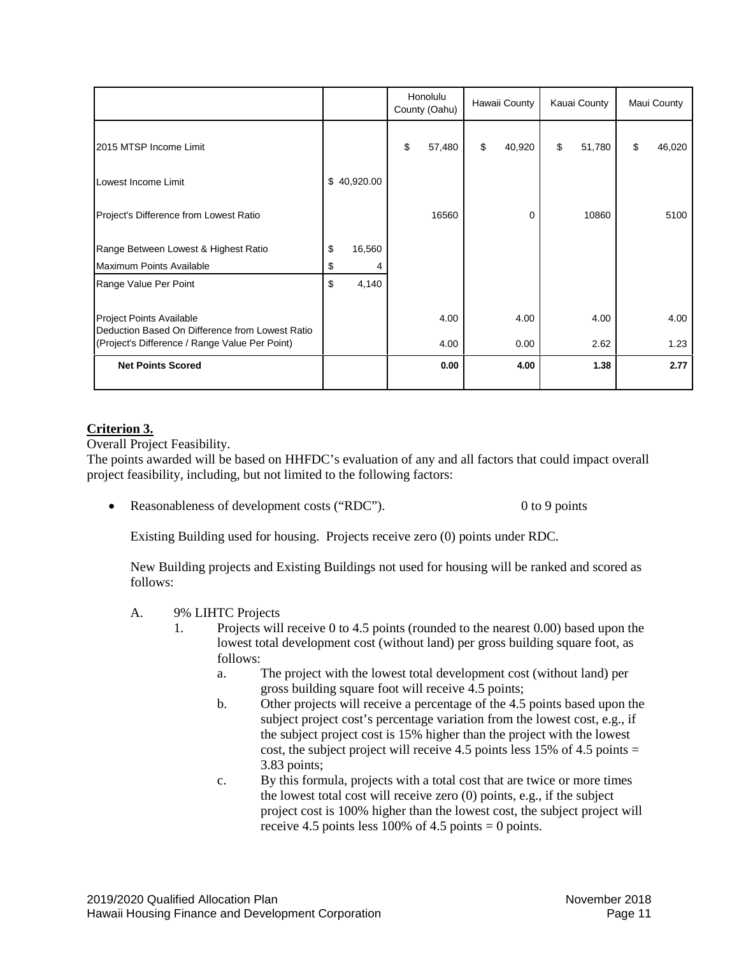|                                                                             |              | Honolulu<br>County (Oahu) |        | Hawaii County |        | Kauai County |        | Maui County |        |
|-----------------------------------------------------------------------------|--------------|---------------------------|--------|---------------|--------|--------------|--------|-------------|--------|
| 2015 MTSP Income Limit                                                      |              | \$                        | 57,480 | \$            | 40,920 | \$           | 51,780 | \$          | 46,020 |
| Lowest Income Limit                                                         | \$40,920.00  |                           |        |               |        |              |        |             |        |
| Project's Difference from Lowest Ratio                                      |              |                           | 16560  |               | 0      |              | 10860  |             | 5100   |
| Range Between Lowest & Highest Ratio                                        | \$<br>16,560 |                           |        |               |        |              |        |             |        |
| Maximum Points Available                                                    | \$           |                           |        |               |        |              |        |             |        |
| Range Value Per Point                                                       | \$<br>4,140  |                           |        |               |        |              |        |             |        |
| Project Points Available<br>Deduction Based On Difference from Lowest Ratio |              |                           | 4.00   |               | 4.00   |              | 4.00   |             | 4.00   |
| (Project's Difference / Range Value Per Point)                              |              |                           | 4.00   |               | 0.00   |              | 2.62   |             | 1.23   |
| <b>Net Points Scored</b>                                                    |              |                           | 0.00   |               | 4.00   |              | 1.38   |             | 2.77   |

# **Criterion 3.**

Overall Project Feasibility.

The points awarded will be based on HHFDC's evaluation of any and all factors that could impact overall project feasibility, including, but not limited to the following factors:

Reasonableness of development costs ("RDC"). 0 to 9 points

Existing Building used for housing. Projects receive zero (0) points under RDC.

New Building projects and Existing Buildings not used for housing will be ranked and scored as follows:

- A. 9% LIHTC Projects
	- 1. Projects will receive 0 to 4.5 points (rounded to the nearest 0.00) based upon the lowest total development cost (without land) per gross building square foot, as follows:
		- a. The project with the lowest total development cost (without land) per gross building square foot will receive 4.5 points;
		- b. Other projects will receive a percentage of the 4.5 points based upon the subject project cost's percentage variation from the lowest cost, e.g., if the subject project cost is 15% higher than the project with the lowest cost, the subject project will receive 4.5 points less 15% of 4.5 points  $=$ 3.83 points;
		- c. By this formula, projects with a total cost that are twice or more times the lowest total cost will receive zero (0) points, e.g., if the subject project cost is 100% higher than the lowest cost, the subject project will receive 4.5 points less 100% of 4.5 points  $= 0$  points.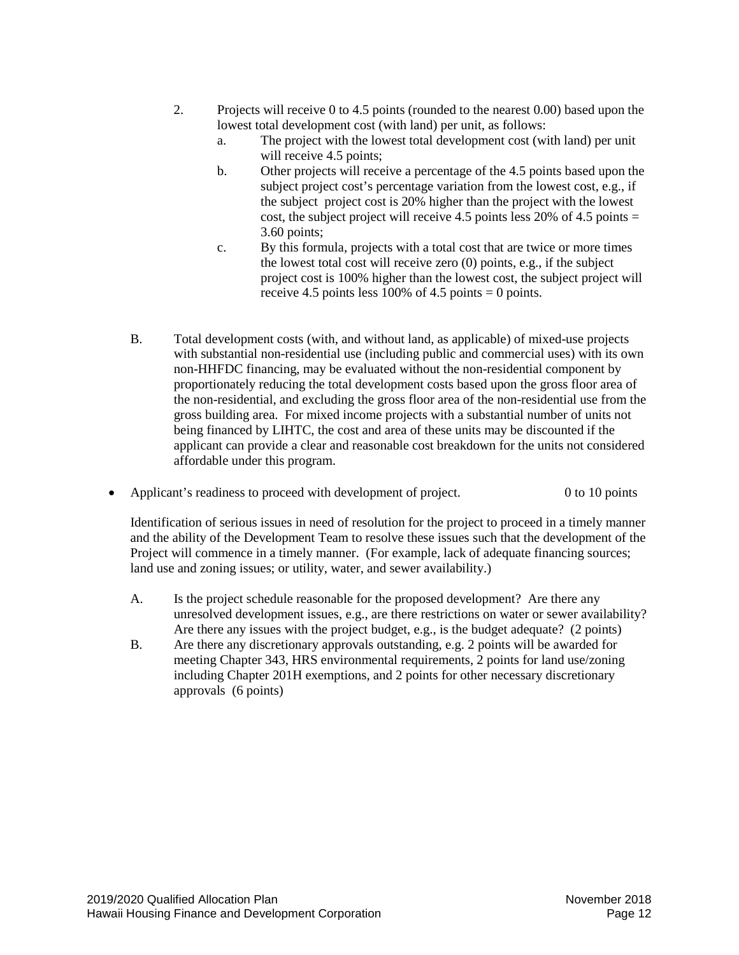- 2. Projects will receive 0 to 4.5 points (rounded to the nearest 0.00) based upon the lowest total development cost (with land) per unit, as follows:
	- a. The project with the lowest total development cost (with land) per unit will receive 4.5 points:
	- b. Other projects will receive a percentage of the 4.5 points based upon the subject project cost's percentage variation from the lowest cost, e.g., if the subject project cost is 20% higher than the project with the lowest cost, the subject project will receive 4.5 points less 20% of 4.5 points  $=$ 3.60 points;
	- c. By this formula, projects with a total cost that are twice or more times the lowest total cost will receive zero (0) points, e.g., if the subject project cost is 100% higher than the lowest cost, the subject project will receive 4.5 points less 100% of 4.5 points = 0 points.
- B. Total development costs (with, and without land, as applicable) of mixed-use projects with substantial non-residential use (including public and commercial uses) with its own non-HHFDC financing, may be evaluated without the non-residential component by proportionately reducing the total development costs based upon the gross floor area of the non-residential, and excluding the gross floor area of the non-residential use from the gross building area. For mixed income projects with a substantial number of units not being financed by LIHTC, the cost and area of these units may be discounted if the applicant can provide a clear and reasonable cost breakdown for the units not considered affordable under this program.
- Applicant's readiness to proceed with development of project. 0 to 10 points

Identification of serious issues in need of resolution for the project to proceed in a timely manner and the ability of the Development Team to resolve these issues such that the development of the Project will commence in a timely manner. (For example, lack of adequate financing sources; land use and zoning issues; or utility, water, and sewer availability.)

- A. Is the project schedule reasonable for the proposed development? Are there any unresolved development issues, e.g., are there restrictions on water or sewer availability? Are there any issues with the project budget, e.g., is the budget adequate? (2 points)
- B. Are there any discretionary approvals outstanding, e.g. 2 points will be awarded for meeting Chapter 343, HRS environmental requirements, 2 points for land use/zoning including Chapter 201H exemptions, and 2 points for other necessary discretionary approvals (6 points)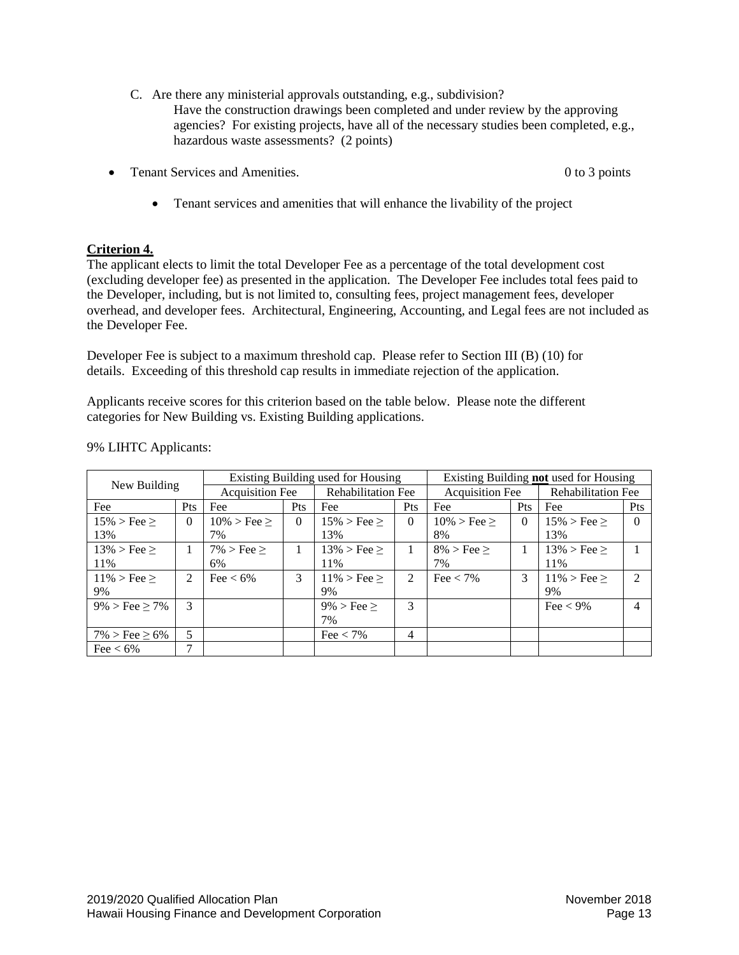- C. Are there any ministerial approvals outstanding, e.g., subdivision? Have the construction drawings been completed and under review by the approving agencies? For existing projects, have all of the necessary studies been completed, e.g., hazardous waste assessments? (2 points)
- Tenant Services and Amenities. 0 to 3 points
	- Tenant services and amenities that will enhance the livability of the project

# **Criterion 4.**

The applicant elects to limit the total Developer Fee as a percentage of the total development cost (excluding developer fee) as presented in the application. The Developer Fee includes total fees paid to the Developer, including, but is not limited to, consulting fees, project management fees, developer overhead, and developer fees. Architectural, Engineering, Accounting, and Legal fees are not included as the Developer Fee.

Developer Fee is subject to a maximum threshold cap. Please refer to Section III (B) (10) for details. Exceeding of this threshold cap results in immediate rejection of the application.

Applicants receive scores for this criterion based on the table below. Please note the different categories for New Building vs. Existing Building applications.

|                            |          | Existing Building used for Housing |          |                           | Existing Building not used for Housing |                    |                           |                       |                |
|----------------------------|----------|------------------------------------|----------|---------------------------|----------------------------------------|--------------------|---------------------------|-----------------------|----------------|
| New Building               |          | <b>Acquisition Fee</b>             |          | <b>Rehabilitation Fee</b> | <b>Acquisition Fee</b>                 |                    | <b>Rehabilitation Fee</b> |                       |                |
| Fee                        | Pts      | Fee                                | Pts      | Fee                       | <b>Pts</b>                             | Fee                | <b>Pts</b>                | Fee                   | Pts            |
| $15\% > \text{Fee} >$      | $\theta$ | $10\%$ > Fee $\geq$                | $\Omega$ | $15\% > \text{Fee} >$     | $\Omega$                               | $10\% > \text{Fe}$ | $\theta$                  | $15\% > \text{Fee} >$ | $\Omega$       |
| 13%                        |          | 7%                                 |          | 13%                       |                                        | 8%                 |                           | 13%                   |                |
| $13\% > \text{Fe}$         |          | $7\%$ > Fee $\geq$                 |          | $13\% > \text{Fe} >$      |                                        | $8\%$ > Fee $\geq$ |                           | $13\% > \text{Fee} >$ |                |
| 11%                        |          | 6%                                 |          | 11%                       |                                        | 7%                 |                           | 11%                   |                |
| $11\% > \text{Fe}$         | 2        | Fee $< 6\%$                        | 3        | $11\% > \text{Fe}$        | $\mathfrak{D}$                         | Fee $< 7\%$        | 3                         | $11\% > \text{Fee} >$ | $\mathcal{L}$  |
| 9%                         |          |                                    |          | 9%                        |                                        |                    |                           | 9%                    |                |
| $9\% > \text{Fee} \ge 7\%$ | 3        |                                    |          | $9\% > \text{Fee} >$      | $\mathcal{R}$                          |                    |                           | Fee $<$ 9%            | $\overline{4}$ |
|                            |          |                                    |          | 7%                        |                                        |                    |                           |                       |                |
| $7\% > \text{Fee} \ge 6\%$ | 5        |                                    |          | Fee $< 7\%$               | 4                                      |                    |                           |                       |                |
| Fee $< 6\%$                | 7        |                                    |          |                           |                                        |                    |                           |                       |                |

## 9% LIHTC Applicants: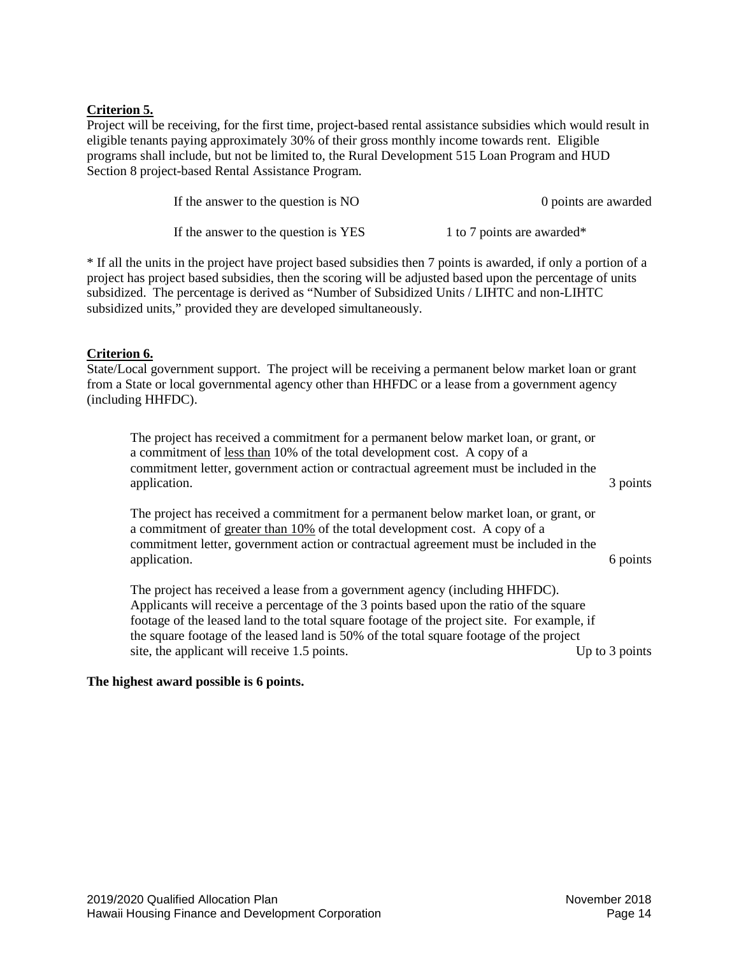# **Criterion 5.**

Project will be receiving, for the first time, project-based rental assistance subsidies which would result in eligible tenants paying approximately 30% of their gross monthly income towards rent. Eligible programs shall include, but not be limited to, the Rural Development 515 Loan Program and HUD Section 8 project-based Rental Assistance Program.

| If the answer to the question is NO  | 0 points are awarded                   |
|--------------------------------------|----------------------------------------|
| If the answer to the question is YES | 1 to 7 points are awarded <sup>*</sup> |

\* If all the units in the project have project based subsidies then 7 points is awarded, if only a portion of a project has project based subsidies, then the scoring will be adjusted based upon the percentage of units subsidized. The percentage is derived as "Number of Subsidized Units / LIHTC and non-LIHTC subsidized units," provided they are developed simultaneously.

# **Criterion 6.**

State/Local government support. The project will be receiving a permanent below market loan or grant from a State or local governmental agency other than HHFDC or a lease from a government agency (including HHFDC).

The project has received a commitment for a permanent below market loan, or grant, or a commitment of less than 10% of the total development cost. A copy of a commitment letter, government action or contractual agreement must be included in the application. 3 points 3 points

The project has received a commitment for a permanent below market loan, or grant, or a commitment of greater than 10% of the total development cost. A copy of a commitment letter, government action or contractual agreement must be included in the application. 6 points of the contract of the contract of the contract of the contract of the contract of the contract of the contract of the contract of the contract of the contract of the contract of the contract of the c

The project has received a lease from a government agency (including HHFDC). Applicants will receive a percentage of the 3 points based upon the ratio of the square footage of the leased land to the total square footage of the project site. For example, if the square footage of the leased land is 50% of the total square footage of the project site, the applicant will receive 1.5 points. Up to 3 points

## **The highest award possible is 6 points.**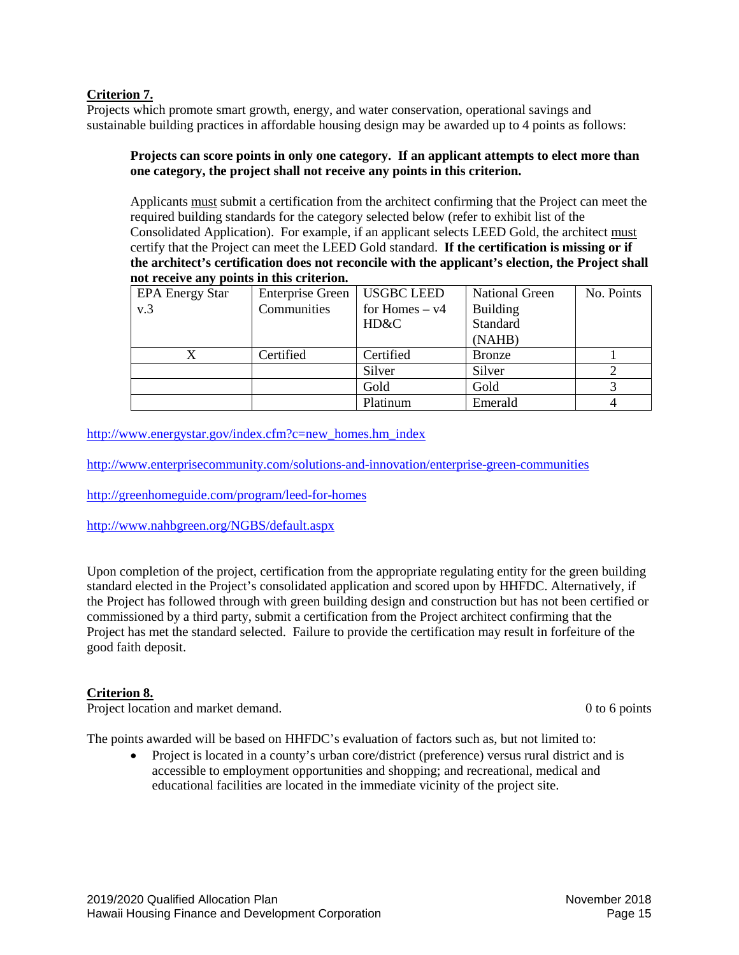## **Criterion 7.**

Projects which promote smart growth, energy, and water conservation, operational savings and sustainable building practices in affordable housing design may be awarded up to 4 points as follows:

## **Projects can score points in only one category. If an applicant attempts to elect more than one category, the project shall not receive any points in this criterion.**

Applicants must submit a certification from the architect confirming that the Project can meet the required building standards for the category selected below (refer to exhibit list of the Consolidated Application). For example, if an applicant selects LEED Gold, the architect must certify that the Project can meet the LEED Gold standard. **If the certification is missing or if the architect's certification does not reconcile with the applicant's election, the Project shall not receive any points in this criterion.**

| <b>EPA Energy Star</b> | Enterprise Green   USGBC LEED |                  | <b>National Green</b> | No. Points |
|------------------------|-------------------------------|------------------|-----------------------|------------|
| v.3                    | Communities                   | for Homes $- v4$ | <b>Building</b>       |            |
|                        |                               | HD&C             | Standard              |            |
|                        |                               |                  | (NAHB)                |            |
| X                      | Certified                     | Certified        | <b>Bronze</b>         |            |
|                        |                               | Silver           | Silver                |            |
|                        |                               | Gold             | Gold                  |            |
|                        |                               | Platinum         | Emerald               |            |

[http://www.energystar.gov/index.cfm?c=new\\_homes.hm\\_index](http://www.energystar.gov/index.cfm?c=new_homes.hm_index)

<http://www.enterprisecommunity.com/solutions-and-innovation/enterprise-green-communities>

<http://greenhomeguide.com/program/leed-for-homes>

<http://www.nahbgreen.org/NGBS/default.aspx>

Upon completion of the project, certification from the appropriate regulating entity for the green building standard elected in the Project's consolidated application and scored upon by HHFDC. Alternatively, if the Project has followed through with green building design and construction but has not been certified or commissioned by a third party, submit a certification from the Project architect confirming that the Project has met the standard selected. Failure to provide the certification may result in forfeiture of the good faith deposit.

# **Criterion 8.**

Project location and market demand. 0 to 6 points of the matrix of the matrix of the matrix of the matrix of the matrix of the matrix of the matrix of the matrix of the matrix of the matrix of the matrix of the matrix of t

The points awarded will be based on HHFDC's evaluation of factors such as, but not limited to:

• Project is located in a county's urban core/district (preference) versus rural district and is accessible to employment opportunities and shopping; and recreational, medical and educational facilities are located in the immediate vicinity of the project site.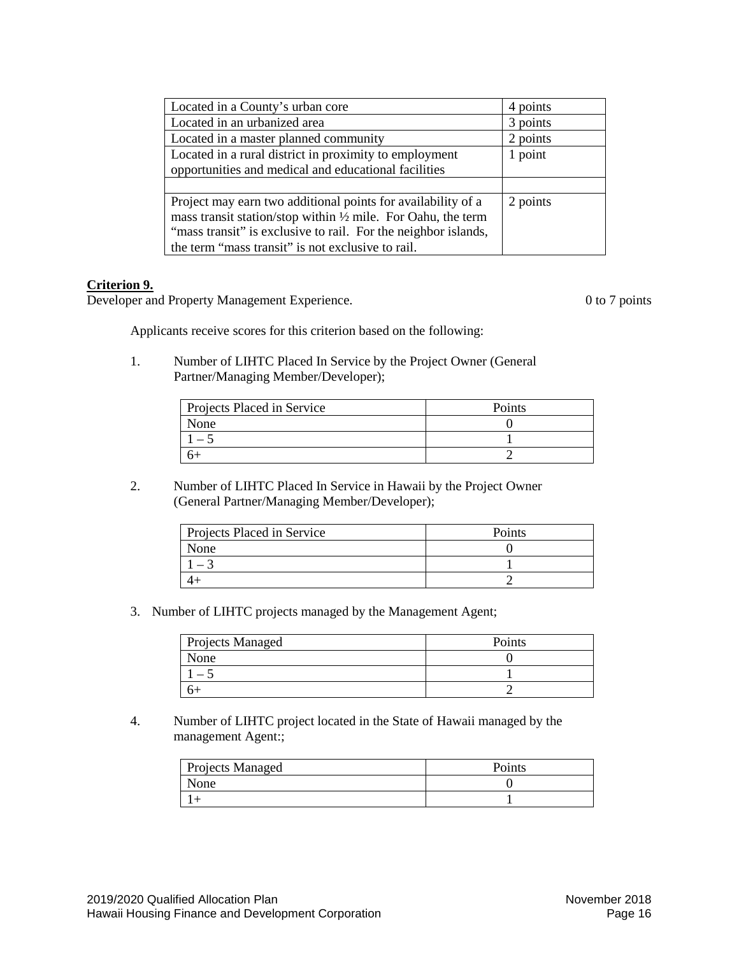| Located in a County's urban core                                                                                                | 4 points |
|---------------------------------------------------------------------------------------------------------------------------------|----------|
| Located in an urbanized area                                                                                                    | 3 points |
| Located in a master planned community                                                                                           | 2 points |
| Located in a rural district in proximity to employment                                                                          | 1 point  |
| opportunities and medical and educational facilities                                                                            |          |
|                                                                                                                                 |          |
| Project may earn two additional points for availability of a                                                                    | 2 points |
| mass transit station/stop within 1/2 mile. For Oahu, the term<br>"mass transit" is exclusive to rail. For the neighbor islands, |          |
| the term "mass transit" is not exclusive to rail.                                                                               |          |
|                                                                                                                                 |          |

## **Criterion 9.**

Developer and Property Management Experience. 0 to 7 points

Applicants receive scores for this criterion based on the following:

1. Number of LIHTC Placed In Service by the Project Owner (General Partner/Managing Member/Developer);

| <b>Projects Placed in Service</b> | Points |
|-----------------------------------|--------|
| None                              |        |
|                                   |        |
|                                   |        |

2. Number of LIHTC Placed In Service in Hawaii by the Project Owner (General Partner/Managing Member/Developer);

| Projects Placed in Service | Points |
|----------------------------|--------|
| None                       |        |
|                            |        |
|                            |        |

3. Number of LIHTC projects managed by the Management Agent;

| <b>Projects Managed</b> | Points |
|-------------------------|--------|
| None                    |        |
|                         |        |
|                         |        |

4. Number of LIHTC project located in the State of Hawaii managed by the management Agent:;

| <b>Projects Managed</b> | Points |
|-------------------------|--------|
| None                    |        |
|                         |        |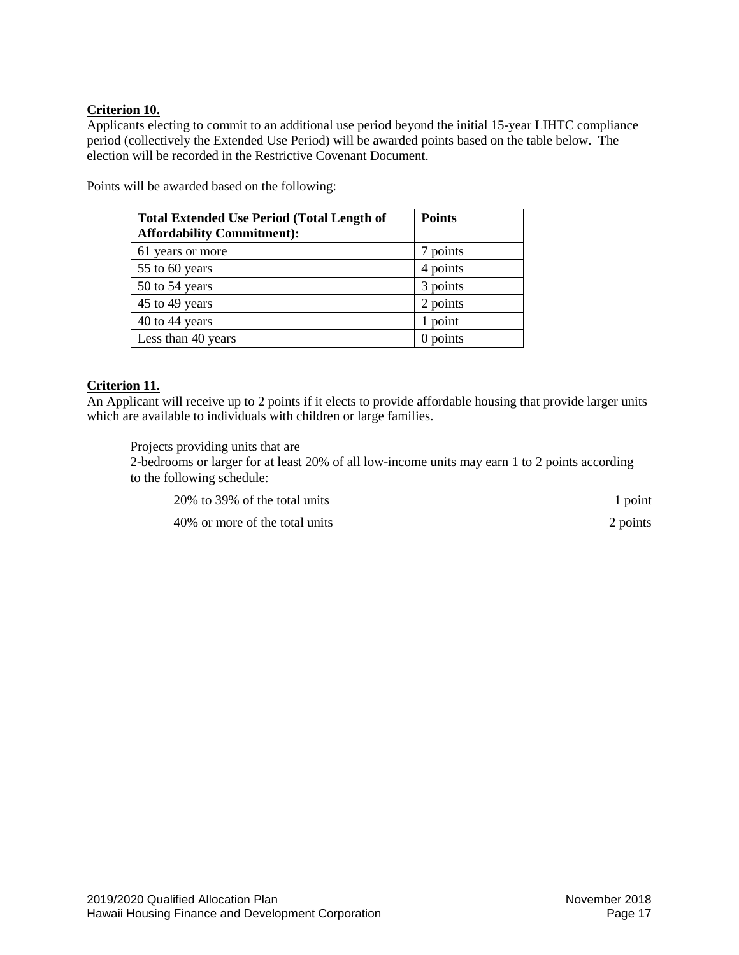# **Criterion 10.**

Applicants electing to commit to an additional use period beyond the initial 15-year LIHTC compliance period (collectively the Extended Use Period) will be awarded points based on the table below. The election will be recorded in the Restrictive Covenant Document.

Points will be awarded based on the following:

| <b>Total Extended Use Period (Total Length of</b><br><b>Affordability Commitment):</b> | <b>Points</b> |
|----------------------------------------------------------------------------------------|---------------|
| 61 years or more                                                                       | 7 points      |
| 55 to 60 years                                                                         | 4 points      |
| 50 to 54 years                                                                         | 3 points      |
| 45 to 49 years                                                                         | 2 points      |
| 40 to 44 years                                                                         | 1 point       |
| Less than 40 years                                                                     | 0 points      |

# **Criterion 11.**

An Applicant will receive up to 2 points if it elects to provide affordable housing that provide larger units which are available to individuals with children or large families.

Projects providing units that are

2-bedrooms or larger for at least 20% of all low-income units may earn 1 to 2 points according to the following schedule:

| 20% to 39% of the total units  | 1 point  |
|--------------------------------|----------|
| 40% or more of the total units | 2 points |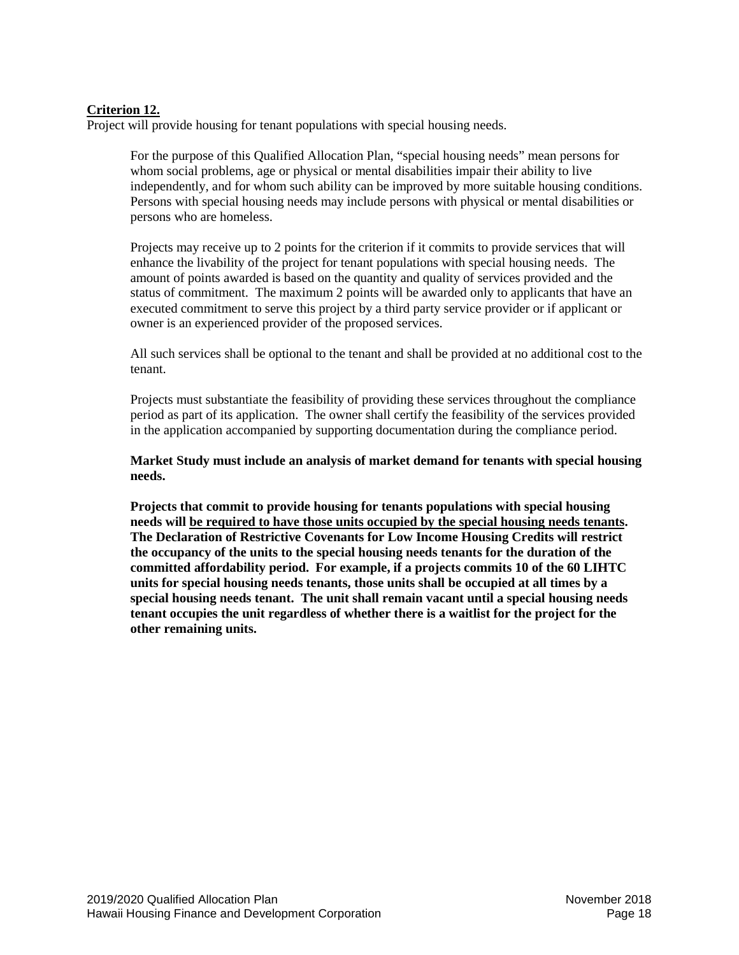# **Criterion 12.**

Project will provide housing for tenant populations with special housing needs.

For the purpose of this Qualified Allocation Plan, "special housing needs" mean persons for whom social problems, age or physical or mental disabilities impair their ability to live independently, and for whom such ability can be improved by more suitable housing conditions. Persons with special housing needs may include persons with physical or mental disabilities or persons who are homeless.

Projects may receive up to 2 points for the criterion if it commits to provide services that will enhance the livability of the project for tenant populations with special housing needs. The amount of points awarded is based on the quantity and quality of services provided and the status of commitment. The maximum 2 points will be awarded only to applicants that have an executed commitment to serve this project by a third party service provider or if applicant or owner is an experienced provider of the proposed services.

All such services shall be optional to the tenant and shall be provided at no additional cost to the tenant.

Projects must substantiate the feasibility of providing these services throughout the compliance period as part of its application. The owner shall certify the feasibility of the services provided in the application accompanied by supporting documentation during the compliance period.

## **Market Study must include an analysis of market demand for tenants with special housing needs.**

**Projects that commit to provide housing for tenants populations with special housing needs will be required to have those units occupied by the special housing needs tenants. The Declaration of Restrictive Covenants for Low Income Housing Credits will restrict the occupancy of the units to the special housing needs tenants for the duration of the committed affordability period. For example, if a projects commits 10 of the 60 LIHTC units for special housing needs tenants, those units shall be occupied at all times by a special housing needs tenant. The unit shall remain vacant until a special housing needs tenant occupies the unit regardless of whether there is a waitlist for the project for the other remaining units.**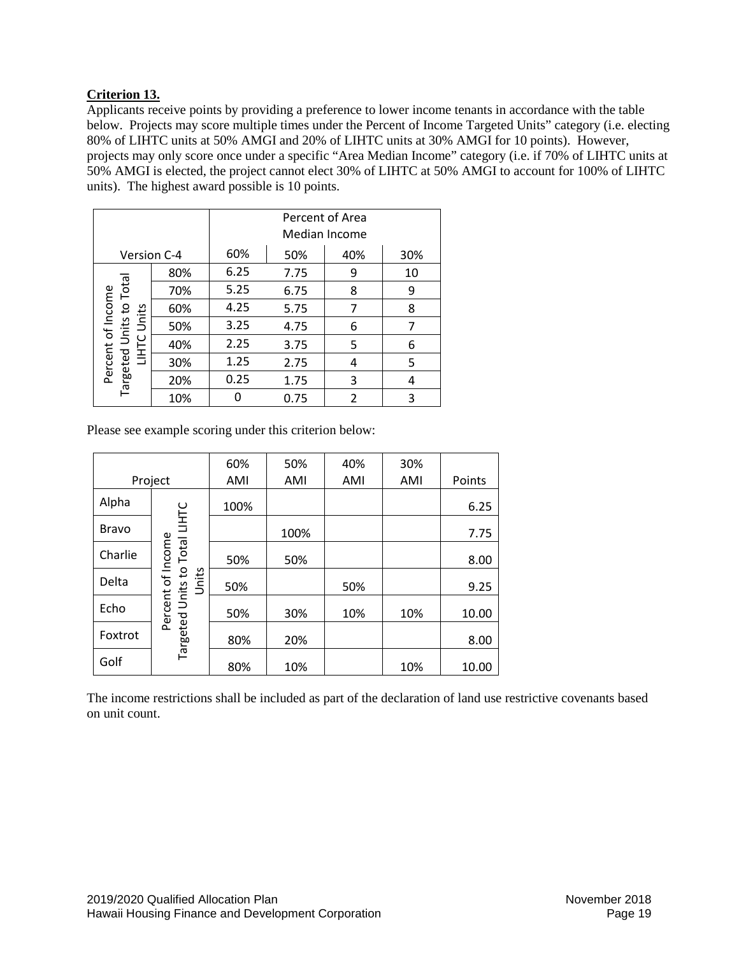# **Criterion 13.**

Applicants receive points by providing a preference to lower income tenants in accordance with the table below. Projects may score multiple times under the Percent of Income Targeted Units" category (i.e. electing 80% of LIHTC units at 50% AMGI and 20% of LIHTC units at 30% AMGI for 10 points). However, projects may only score once under a specific "Area Median Income" category (i.e. if 70% of LIHTC units at 50% AMGI is elected, the project cannot elect 30% of LIHTC at 50% AMGI to account for 100% of LIHTC units). The highest award possible is 10 points.

|                   |     | Percent of Area<br>Median Income |      |     |     |
|-------------------|-----|----------------------------------|------|-----|-----|
| Version C-4       |     | 60%                              | 50%  | 40% | 30% |
|                   | 80% | 6.25                             | 7.75 | 9   | 10  |
| Total             | 70% | 5.25                             | 6.75 | 8   | 9   |
| S+                | 60% | 4.25                             | 5.75 | 7   | 8   |
| Units<br>Units    | 50% | 3.25                             | 4.75 | 6   |     |
| <b>UHTC</b>       | 40% | 2.25                             | 3.75 | 5   | 6   |
| Percent of Income | 30% | 1.25                             | 2.75 | 4   | 5   |
| Targeted          | 20% | 0.25                             | 1.75 | 3   | 4   |
|                   | 10% |                                  | 0.75 | 2   | 3   |

Please see example scoring under this criterion below:

|              |                                                    | 60%  | 50%  | 40% | 30% |        |
|--------------|----------------------------------------------------|------|------|-----|-----|--------|
|              | Project                                            | AMI  | AMI  | AMI | AMI | Points |
| Alpha        |                                                    | 100% |      |     |     | 6.25   |
| <b>Bravo</b> |                                                    |      | 100% |     |     | 7.75   |
| Charlie      |                                                    | 50%  | 50%  |     |     | 8.00   |
| Delta        | Units                                              | 50%  |      | 50% |     | 9.25   |
| Echo         | Targeted Units to Total LIHTC<br>Percent of Income | 50%  | 30%  | 10% | 10% | 10.00  |
| Foxtrot      |                                                    | 80%  | 20%  |     |     | 8.00   |
| Golf         |                                                    | 80%  | 10%  |     | 10% | 10.00  |

The income restrictions shall be included as part of the declaration of land use restrictive covenants based on unit count.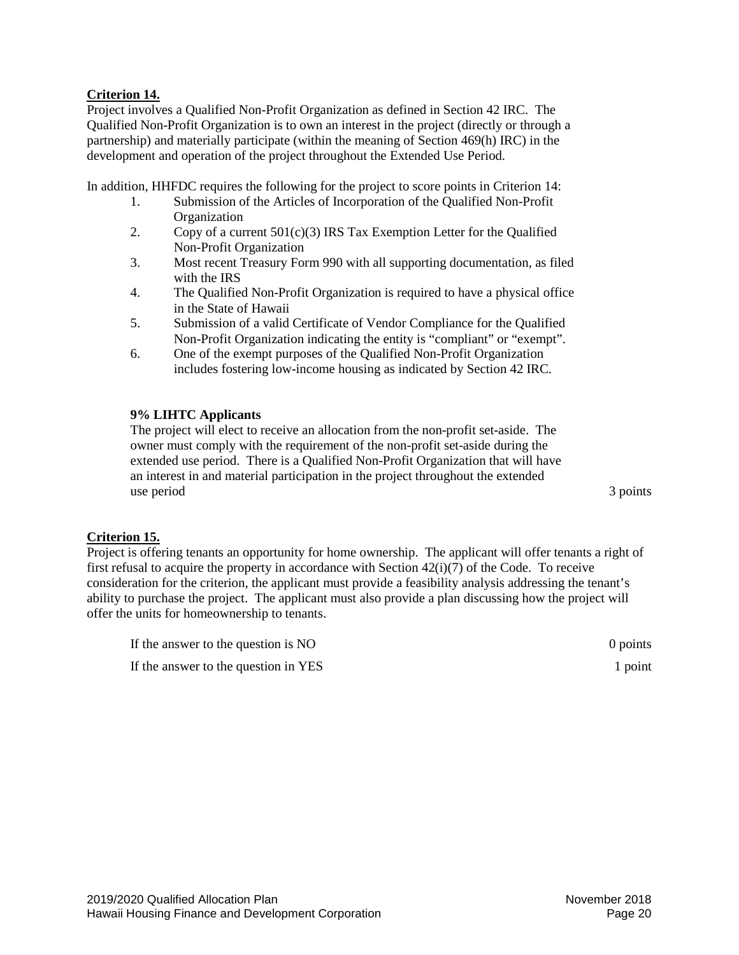## **Criterion 14.**

Project involves a Qualified Non-Profit Organization as defined in Section 42 IRC. The Qualified Non-Profit Organization is to own an interest in the project (directly or through a partnership) and materially participate (within the meaning of Section 469(h) IRC) in the development and operation of the project throughout the Extended Use Period.

In addition, HHFDC requires the following for the project to score points in Criterion 14:

- 1. Submission of the Articles of Incorporation of the Qualified Non-Profit **Organization**
- 2. Copy of a current  $501(c)(3)$  IRS Tax Exemption Letter for the Qualified Non-Profit Organization
- 3. Most recent Treasury Form 990 with all supporting documentation, as filed with the IRS
- 4. The Qualified Non-Profit Organization is required to have a physical office in the State of Hawaii
- 5. Submission of a valid Certificate of Vendor Compliance for the Qualified Non-Profit Organization indicating the entity is "compliant" or "exempt".
- 6. One of the exempt purposes of the Qualified Non-Profit Organization includes fostering low-income housing as indicated by Section 42 IRC.

## **9% LIHTC Applicants**

The project will elect to receive an allocation from the non-profit set-aside. The owner must comply with the requirement of the non-profit set-aside during the extended use period. There is a Qualified Non-Profit Organization that will have an interest in and material participation in the project throughout the extended use period 3 points

## **Criterion 15.**

Project is offering tenants an opportunity for home ownership. The applicant will offer tenants a right of first refusal to acquire the property in accordance with Section  $42(i)(7)$  of the Code. To receive consideration for the criterion, the applicant must provide a feasibility analysis addressing the tenant's ability to purchase the project. The applicant must also provide a plan discussing how the project will offer the units for homeownership to tenants.

| If the answer to the question is NO  | 0 points |
|--------------------------------------|----------|
| If the answer to the question in YES | 1 point  |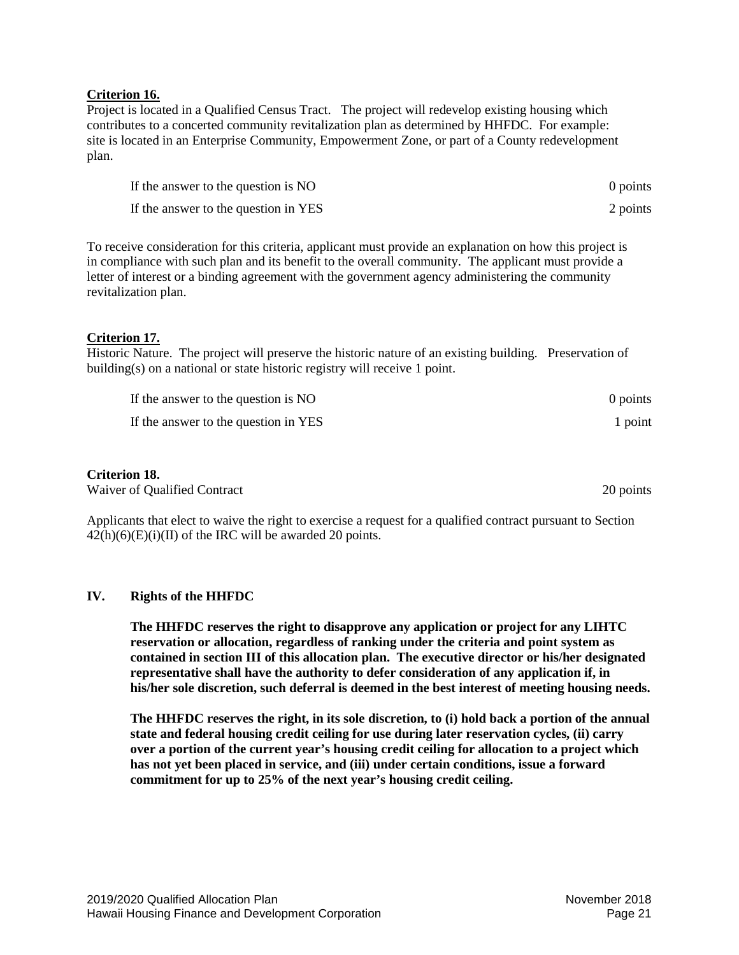## **Criterion 16.**

Project is located in a Qualified Census Tract. The project will redevelop existing housing which contributes to a concerted community revitalization plan as determined by HHFDC. For example: site is located in an Enterprise Community, Empowerment Zone, or part of a County redevelopment plan.

| If the answer to the question is NO  | 0 points |
|--------------------------------------|----------|
| If the answer to the question in YES | 2 points |

To receive consideration for this criteria, applicant must provide an explanation on how this project is in compliance with such plan and its benefit to the overall community. The applicant must provide a letter of interest or a binding agreement with the government agency administering the community revitalization plan.

# **Criterion 17.**

Historic Nature. The project will preserve the historic nature of an existing building. Preservation of building(s) on a national or state historic registry will receive 1 point.

| If the answer to the question is NO  | 0 points |
|--------------------------------------|----------|
| If the answer to the question in YES | 1 point  |

# **Criterion 18.**

Waiver of Qualified Contract 20 points 20 points 20 points

Applicants that elect to waive the right to exercise a request for a qualified contract pursuant to Section  $42(h)(6)(E)(i)(II)$  of the IRC will be awarded 20 points.

## <span id="page-20-0"></span>**IV. Rights of the HHFDC**

**The HHFDC reserves the right to disapprove any application or project for any LIHTC reservation or allocation, regardless of ranking under the criteria and point system as contained in section III of this allocation plan. The executive director or his/her designated representative shall have the authority to defer consideration of any application if, in his/her sole discretion, such deferral is deemed in the best interest of meeting housing needs.**

**The HHFDC reserves the right, in its sole discretion, to (i) hold back a portion of the annual state and federal housing credit ceiling for use during later reservation cycles, (ii) carry over a portion of the current year's housing credit ceiling for allocation to a project which has not yet been placed in service, and (iii) under certain conditions, issue a forward commitment for up to 25% of the next year's housing credit ceiling.**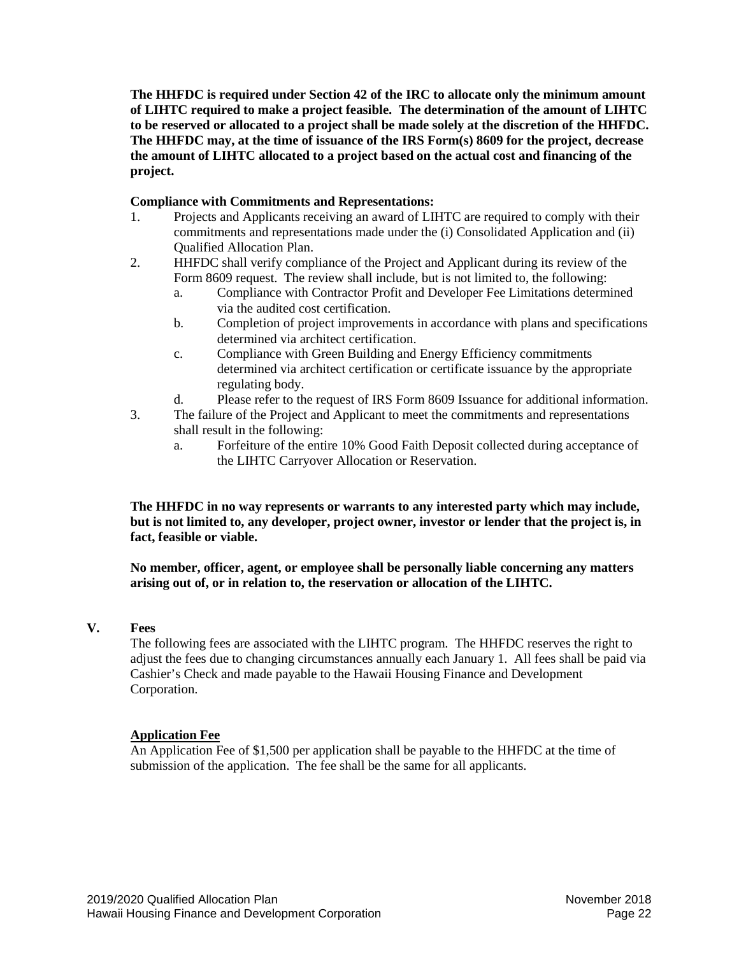**The HHFDC is required under Section 42 of the IRC to allocate only the minimum amount of LIHTC required to make a project feasible. The determination of the amount of LIHTC to be reserved or allocated to a project shall be made solely at the discretion of the HHFDC. The HHFDC may, at the time of issuance of the IRS Form(s) 8609 for the project, decrease the amount of LIHTC allocated to a project based on the actual cost and financing of the project.**

## **Compliance with Commitments and Representations:**

- 1. Projects and Applicants receiving an award of LIHTC are required to comply with their commitments and representations made under the (i) Consolidated Application and (ii) Qualified Allocation Plan.
- 2. HHFDC shall verify compliance of the Project and Applicant during its review of the Form 8609 request. The review shall include, but is not limited to, the following:
	- a. Compliance with Contractor Profit and Developer Fee Limitations determined via the audited cost certification.
	- b. Completion of project improvements in accordance with plans and specifications determined via architect certification.
	- c. Compliance with Green Building and Energy Efficiency commitments determined via architect certification or certificate issuance by the appropriate regulating body.
	- d. Please refer to the request of IRS Form 8609 Issuance for additional information.
- 3. The failure of the Project and Applicant to meet the commitments and representations shall result in the following:
	- a. Forfeiture of the entire 10% Good Faith Deposit collected during acceptance of the LIHTC Carryover Allocation or Reservation.

**The HHFDC in no way represents or warrants to any interested party which may include, but is not limited to, any developer, project owner, investor or lender that the project is, in fact, feasible or viable.**

**No member, officer, agent, or employee shall be personally liable concerning any matters arising out of, or in relation to, the reservation or allocation of the LIHTC.**

## <span id="page-21-0"></span>**V. Fees**

The following fees are associated with the LIHTC program. The HHFDC reserves the right to adjust the fees due to changing circumstances annually each January 1. All fees shall be paid via Cashier's Check and made payable to the Hawaii Housing Finance and Development Corporation.

## **Application Fee**

An Application Fee of \$1,500 per application shall be payable to the HHFDC at the time of submission of the application. The fee shall be the same for all applicants.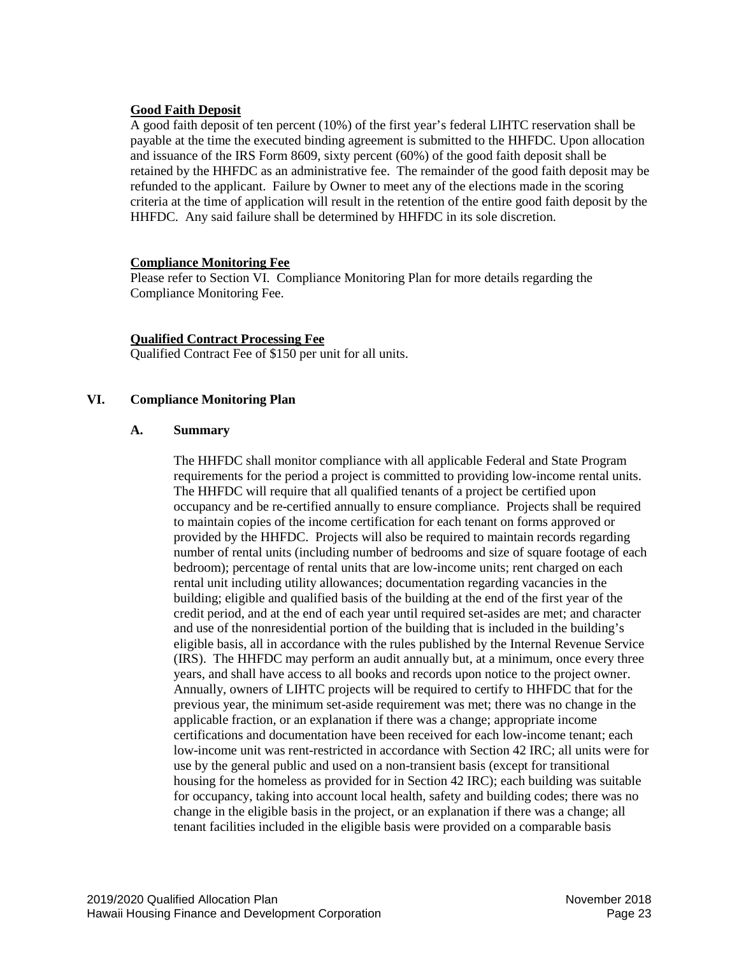## **Good Faith Deposit**

A good faith deposit of ten percent (10%) of the first year's federal LIHTC reservation shall be payable at the time the executed binding agreement is submitted to the HHFDC. Upon allocation and issuance of the IRS Form 8609, sixty percent (60%) of the good faith deposit shall be retained by the HHFDC as an administrative fee. The remainder of the good faith deposit may be refunded to the applicant. Failure by Owner to meet any of the elections made in the scoring criteria at the time of application will result in the retention of the entire good faith deposit by the HHFDC. Any said failure shall be determined by HHFDC in its sole discretion.

## **Compliance Monitoring Fee**

Please refer to Section VI. Compliance Monitoring Plan for more details regarding the Compliance Monitoring Fee.

## **Qualified Contract Processing Fee**

Qualified Contract Fee of \$150 per unit for all units.

## <span id="page-22-0"></span>**VI. Compliance Monitoring Plan**

## <span id="page-22-1"></span>**A. Summary**

The HHFDC shall monitor compliance with all applicable Federal and State Program requirements for the period a project is committed to providing low-income rental units. The HHFDC will require that all qualified tenants of a project be certified upon occupancy and be re-certified annually to ensure compliance. Projects shall be required to maintain copies of the income certification for each tenant on forms approved or provided by the HHFDC. Projects will also be required to maintain records regarding number of rental units (including number of bedrooms and size of square footage of each bedroom); percentage of rental units that are low-income units; rent charged on each rental unit including utility allowances; documentation regarding vacancies in the building; eligible and qualified basis of the building at the end of the first year of the credit period, and at the end of each year until required set-asides are met; and character and use of the nonresidential portion of the building that is included in the building's eligible basis, all in accordance with the rules published by the Internal Revenue Service (IRS). The HHFDC may perform an audit annually but, at a minimum, once every three years, and shall have access to all books and records upon notice to the project owner. Annually, owners of LIHTC projects will be required to certify to HHFDC that for the previous year, the minimum set-aside requirement was met; there was no change in the applicable fraction, or an explanation if there was a change; appropriate income certifications and documentation have been received for each low-income tenant; each low-income unit was rent-restricted in accordance with Section 42 IRC; all units were for use by the general public and used on a non-transient basis (except for transitional housing for the homeless as provided for in Section 42 IRC); each building was suitable for occupancy, taking into account local health, safety and building codes; there was no change in the eligible basis in the project, or an explanation if there was a change; all tenant facilities included in the eligible basis were provided on a comparable basis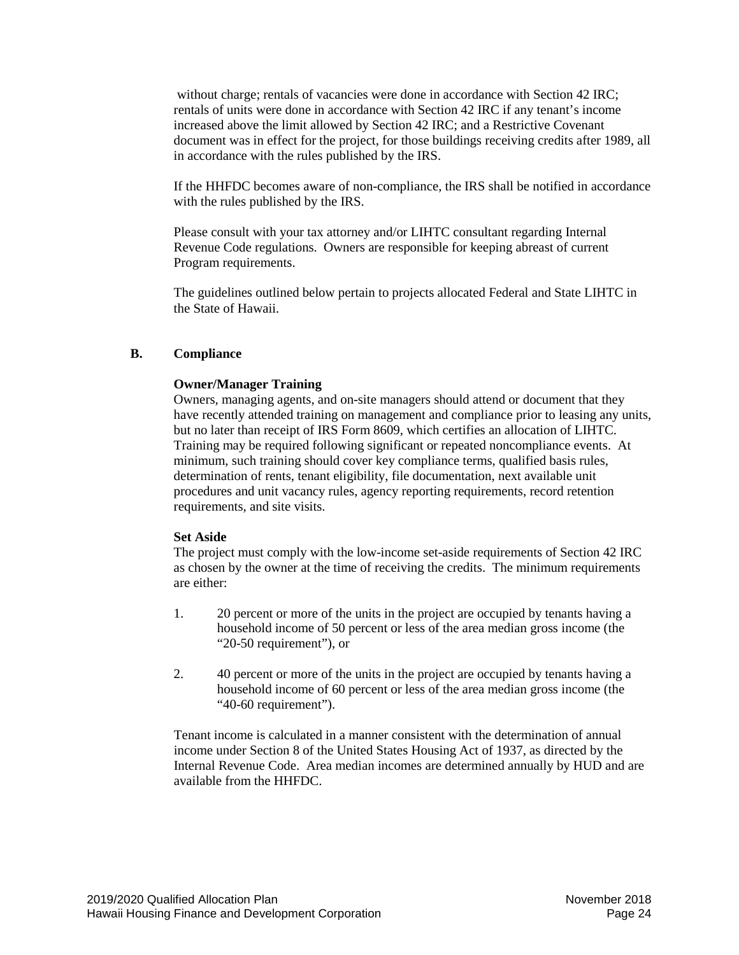without charge; rentals of vacancies were done in accordance with Section 42 IRC; rentals of units were done in accordance with Section 42 IRC if any tenant's income increased above the limit allowed by Section 42 IRC; and a Restrictive Covenant document was in effect for the project, for those buildings receiving credits after 1989, all in accordance with the rules published by the IRS.

If the HHFDC becomes aware of non-compliance, the IRS shall be notified in accordance with the rules published by the IRS.

Please consult with your tax attorney and/or LIHTC consultant regarding Internal Revenue Code regulations. Owners are responsible for keeping abreast of current Program requirements.

The guidelines outlined below pertain to projects allocated Federal and State LIHTC in the State of Hawaii.

## <span id="page-23-0"></span>**B. Compliance**

## **Owner/Manager Training**

Owners, managing agents, and on-site managers should attend or document that they have recently attended training on management and compliance prior to leasing any units, but no later than receipt of IRS Form 8609, which certifies an allocation of LIHTC. Training may be required following significant or repeated noncompliance events. At minimum, such training should cover key compliance terms, qualified basis rules, determination of rents, tenant eligibility, file documentation, next available unit procedures and unit vacancy rules, agency reporting requirements, record retention requirements, and site visits.

## **Set Aside**

The project must comply with the low-income set-aside requirements of Section 42 IRC as chosen by the owner at the time of receiving the credits. The minimum requirements are either:

- 1. 20 percent or more of the units in the project are occupied by tenants having a household income of 50 percent or less of the area median gross income (the "20-50 requirement"), or
- 2. 40 percent or more of the units in the project are occupied by tenants having a household income of 60 percent or less of the area median gross income (the "40-60 requirement").

Tenant income is calculated in a manner consistent with the determination of annual income under Section 8 of the United States Housing Act of 1937, as directed by the Internal Revenue Code. Area median incomes are determined annually by HUD and are available from the HHFDC.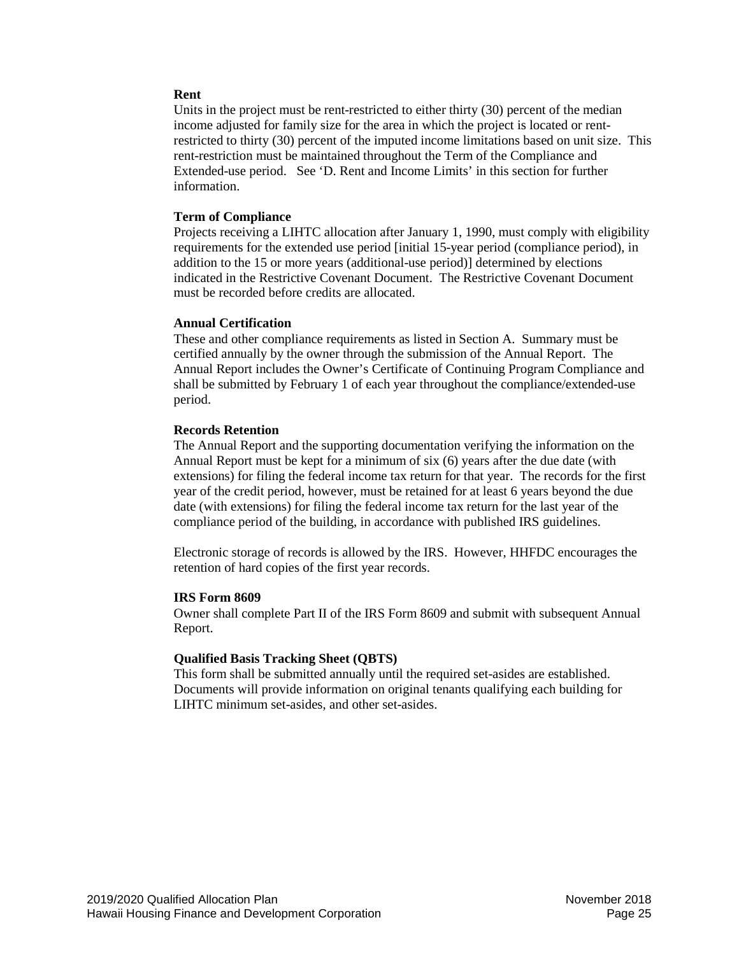## **Rent**

Units in the project must be rent-restricted to either thirty (30) percent of the median income adjusted for family size for the area in which the project is located or rentrestricted to thirty (30) percent of the imputed income limitations based on unit size. This rent-restriction must be maintained throughout the Term of the Compliance and Extended-use period. See 'D. Rent and Income Limits' in this section for further information.

## **Term of Compliance**

Projects receiving a LIHTC allocation after January 1, 1990, must comply with eligibility requirements for the extended use period [initial 15-year period (compliance period), in addition to the 15 or more years (additional-use period)] determined by elections indicated in the Restrictive Covenant Document. The Restrictive Covenant Document must be recorded before credits are allocated.

## **Annual Certification**

These and other compliance requirements as listed in Section A. Summary must be certified annually by the owner through the submission of the Annual Report. The Annual Report includes the Owner's Certificate of Continuing Program Compliance and shall be submitted by February 1 of each year throughout the compliance/extended-use period.

## **Records Retention**

The Annual Report and the supporting documentation verifying the information on the Annual Report must be kept for a minimum of six (6) years after the due date (with extensions) for filing the federal income tax return for that year. The records for the first year of the credit period, however, must be retained for at least 6 years beyond the due date (with extensions) for filing the federal income tax return for the last year of the compliance period of the building, in accordance with published IRS guidelines.

Electronic storage of records is allowed by the IRS. However, HHFDC encourages the retention of hard copies of the first year records.

## **IRS Form 8609**

Owner shall complete Part II of the IRS Form 8609 and submit with subsequent Annual Report.

## **Qualified Basis Tracking Sheet (QBTS)**

This form shall be submitted annually until the required set-asides are established. Documents will provide information on original tenants qualifying each building for LIHTC minimum set-asides, and other set-asides.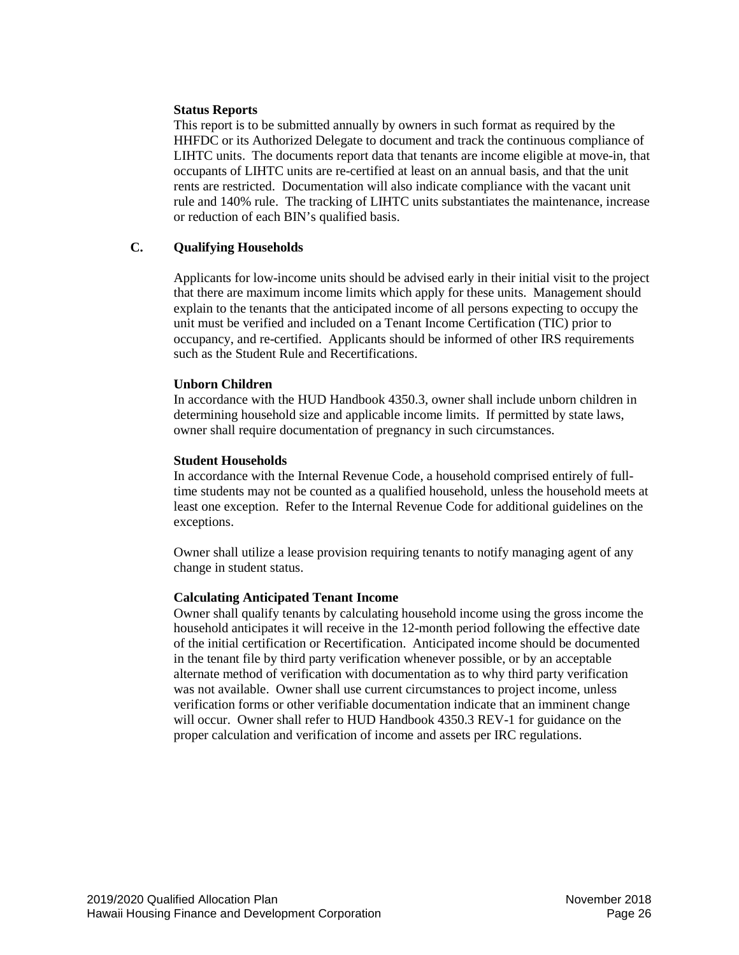## **Status Reports**

This report is to be submitted annually by owners in such format as required by the HHFDC or its Authorized Delegate to document and track the continuous compliance of LIHTC units. The documents report data that tenants are income eligible at move-in, that occupants of LIHTC units are re-certified at least on an annual basis, and that the unit rents are restricted. Documentation will also indicate compliance with the vacant unit rule and 140% rule. The tracking of LIHTC units substantiates the maintenance, increase or reduction of each BIN's qualified basis.

## <span id="page-25-0"></span>**C. Qualifying Households**

Applicants for low-income units should be advised early in their initial visit to the project that there are maximum income limits which apply for these units. Management should explain to the tenants that the anticipated income of all persons expecting to occupy the unit must be verified and included on a Tenant Income Certification (TIC) prior to occupancy, and re-certified. Applicants should be informed of other IRS requirements such as the Student Rule and Recertifications.

## **Unborn Children**

In accordance with the HUD Handbook 4350.3, owner shall include unborn children in determining household size and applicable income limits. If permitted by state laws, owner shall require documentation of pregnancy in such circumstances.

## **Student Households**

In accordance with the Internal Revenue Code, a household comprised entirely of fulltime students may not be counted as a qualified household, unless the household meets at least one exception. Refer to the Internal Revenue Code for additional guidelines on the exceptions.

Owner shall utilize a lease provision requiring tenants to notify managing agent of any change in student status.

# **Calculating Anticipated Tenant Income**

Owner shall qualify tenants by calculating household income using the gross income the household anticipates it will receive in the 12-month period following the effective date of the initial certification or Recertification. Anticipated income should be documented in the tenant file by third party verification whenever possible, or by an acceptable alternate method of verification with documentation as to why third party verification was not available. Owner shall use current circumstances to project income, unless verification forms or other verifiable documentation indicate that an imminent change will occur. Owner shall refer to HUD Handbook 4350.3 REV-1 for guidance on the proper calculation and verification of income and assets per IRC regulations.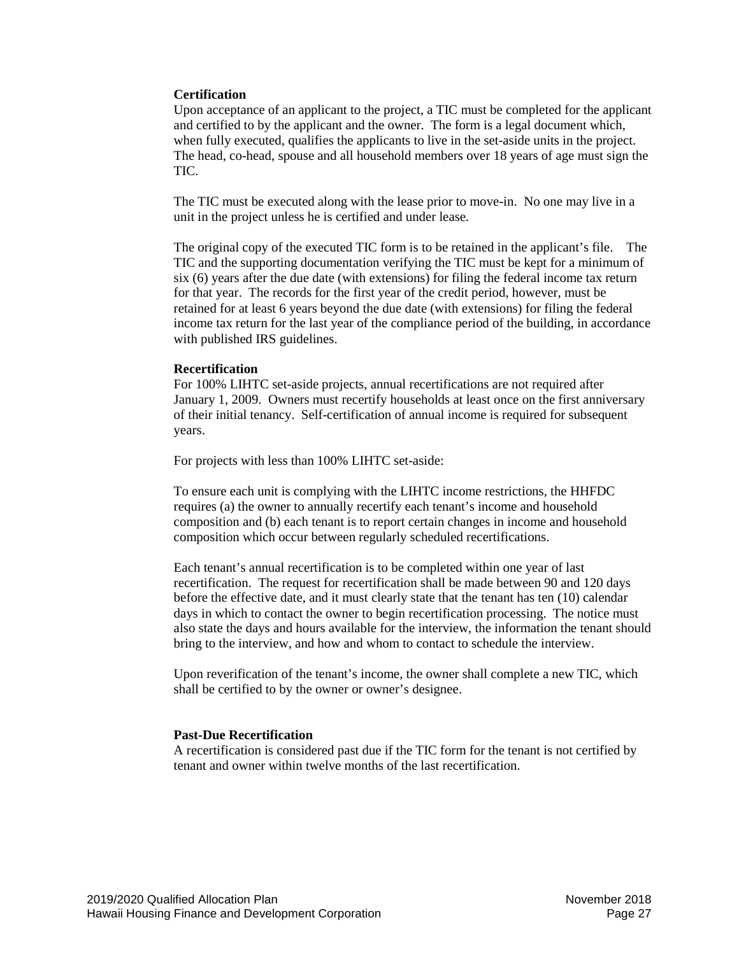## **Certification**

Upon acceptance of an applicant to the project, a TIC must be completed for the applicant and certified to by the applicant and the owner. The form is a legal document which, when fully executed, qualifies the applicants to live in the set-aside units in the project. The head, co-head, spouse and all household members over 18 years of age must sign the TIC.

The TIC must be executed along with the lease prior to move-in. No one may live in a unit in the project unless he is certified and under lease.

The original copy of the executed TIC form is to be retained in the applicant's file. The TIC and the supporting documentation verifying the TIC must be kept for a minimum of six (6) years after the due date (with extensions) for filing the federal income tax return for that year. The records for the first year of the credit period, however, must be retained for at least 6 years beyond the due date (with extensions) for filing the federal income tax return for the last year of the compliance period of the building, in accordance with published IRS guidelines.

#### **Recertification**

For 100% LIHTC set-aside projects, annual recertifications are not required after January 1, 2009. Owners must recertify households at least once on the first anniversary of their initial tenancy. Self-certification of annual income is required for subsequent years.

For projects with less than 100% LIHTC set-aside:

To ensure each unit is complying with the LIHTC income restrictions, the HHFDC requires (a) the owner to annually recertify each tenant's income and household composition and (b) each tenant is to report certain changes in income and household composition which occur between regularly scheduled recertifications.

Each tenant's annual recertification is to be completed within one year of last recertification. The request for recertification shall be made between 90 and 120 days before the effective date, and it must clearly state that the tenant has ten (10) calendar days in which to contact the owner to begin recertification processing. The notice must also state the days and hours available for the interview, the information the tenant should bring to the interview, and how and whom to contact to schedule the interview.

Upon reverification of the tenant's income, the owner shall complete a new TIC, which shall be certified to by the owner or owner's designee.

#### **Past-Due Recertification**

A recertification is considered past due if the TIC form for the tenant is not certified by tenant and owner within twelve months of the last recertification.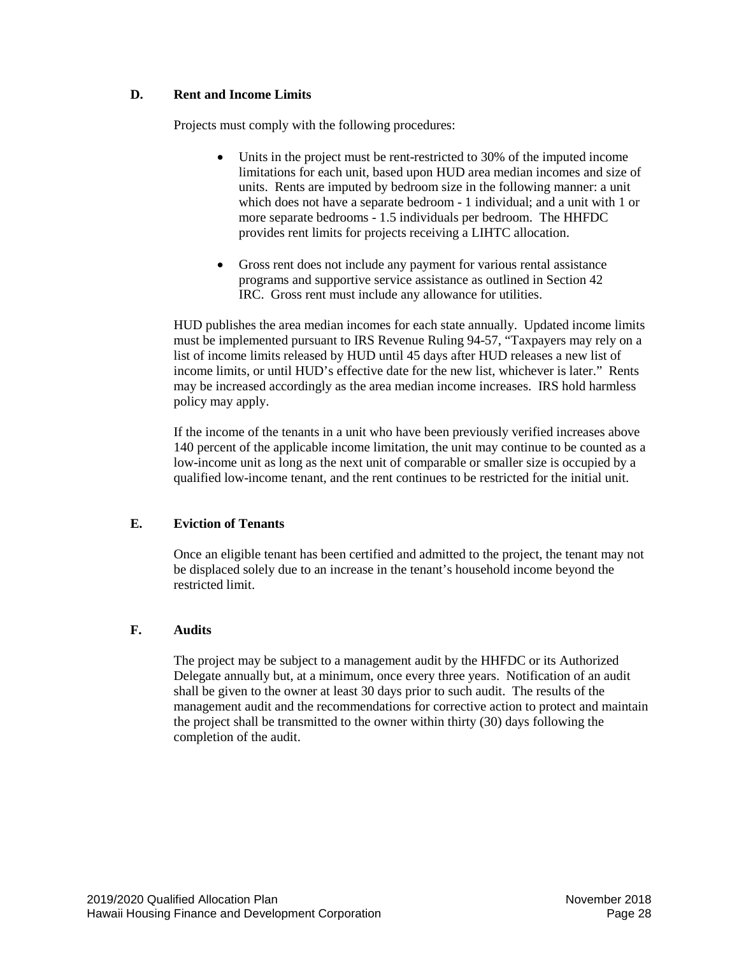# <span id="page-27-0"></span>**D. Rent and Income Limits**

Projects must comply with the following procedures:

- Units in the project must be rent-restricted to 30% of the imputed income limitations for each unit, based upon HUD area median incomes and size of units. Rents are imputed by bedroom size in the following manner: a unit which does not have a separate bedroom - 1 individual; and a unit with 1 or more separate bedrooms - 1.5 individuals per bedroom. The HHFDC provides rent limits for projects receiving a LIHTC allocation.
- Gross rent does not include any payment for various rental assistance programs and supportive service assistance as outlined in Section 42 IRC. Gross rent must include any allowance for utilities.

HUD publishes the area median incomes for each state annually. Updated income limits must be implemented pursuant to IRS Revenue Ruling 94-57, "Taxpayers may rely on a list of income limits released by HUD until 45 days after HUD releases a new list of income limits, or until HUD's effective date for the new list, whichever is later." Rents may be increased accordingly as the area median income increases. IRS hold harmless policy may apply.

If the income of the tenants in a unit who have been previously verified increases above 140 percent of the applicable income limitation, the unit may continue to be counted as a low-income unit as long as the next unit of comparable or smaller size is occupied by a qualified low-income tenant, and the rent continues to be restricted for the initial unit.

# <span id="page-27-1"></span>**E. Eviction of Tenants**

Once an eligible tenant has been certified and admitted to the project, the tenant may not be displaced solely due to an increase in the tenant's household income beyond the restricted limit.

# <span id="page-27-2"></span>**F. Audits**

The project may be subject to a management audit by the HHFDC or its Authorized Delegate annually but, at a minimum, once every three years. Notification of an audit shall be given to the owner at least 30 days prior to such audit. The results of the management audit and the recommendations for corrective action to protect and maintain the project shall be transmitted to the owner within thirty (30) days following the completion of the audit.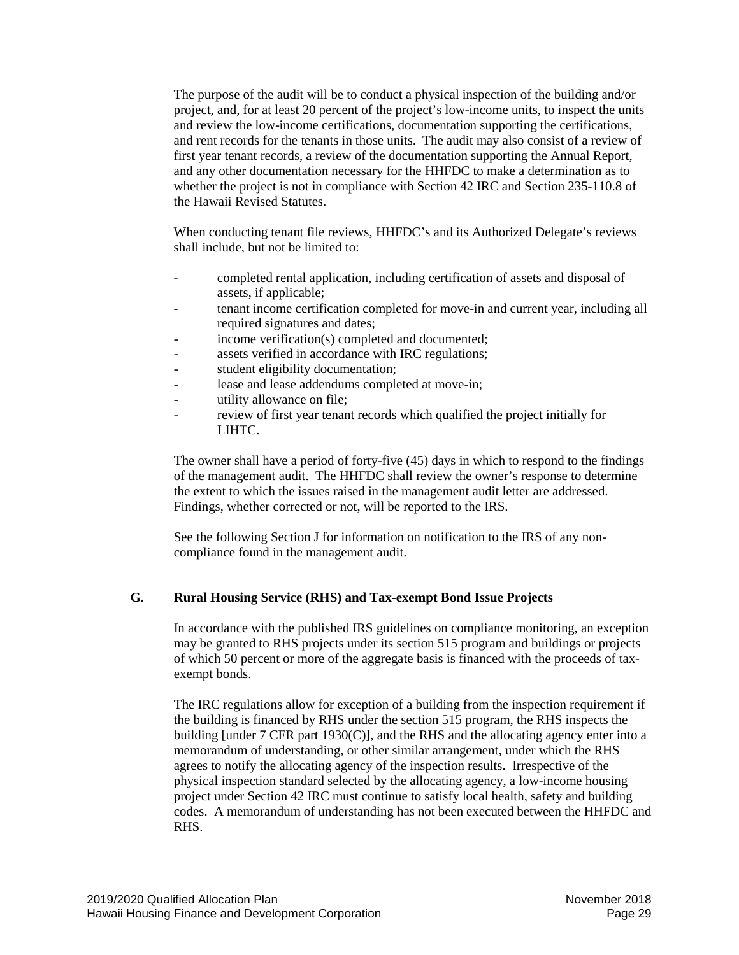The purpose of the audit will be to conduct a physical inspection of the building and/or project, and, for at least 20 percent of the project's low-income units, to inspect the units and review the low-income certifications, documentation supporting the certifications, and rent records for the tenants in those units. The audit may also consist of a review of first year tenant records, a review of the documentation supporting the Annual Report, and any other documentation necessary for the HHFDC to make a determination as to whether the project is not in compliance with Section 42 IRC and Section 235-110.8 of the Hawaii Revised Statutes.

When conducting tenant file reviews, HHFDC's and its Authorized Delegate's reviews shall include, but not be limited to:

- completed rental application, including certification of assets and disposal of assets, if applicable;
- tenant income certification completed for move-in and current year, including all required signatures and dates;
- income verification(s) completed and documented;
- assets verified in accordance with IRC regulations;
- student eligibility documentation;
- lease and lease addendums completed at move-in;
- utility allowance on file;
- review of first year tenant records which qualified the project initially for LIHTC.

The owner shall have a period of forty-five (45) days in which to respond to the findings of the management audit. The HHFDC shall review the owner's response to determine the extent to which the issues raised in the management audit letter are addressed. Findings, whether corrected or not, will be reported to the IRS.

See the following Section J for information on notification to the IRS of any noncompliance found in the management audit.

## <span id="page-28-0"></span>**G. Rural Housing Service (RHS) and Tax-exempt Bond Issue Projects**

In accordance with the published IRS guidelines on compliance monitoring, an exception may be granted to RHS projects under its section 515 program and buildings or projects of which 50 percent or more of the aggregate basis is financed with the proceeds of taxexempt bonds.

The IRC regulations allow for exception of a building from the inspection requirement if the building is financed by RHS under the section 515 program, the RHS inspects the building [under 7 CFR part 1930(C)], and the RHS and the allocating agency enter into a memorandum of understanding, or other similar arrangement, under which the RHS agrees to notify the allocating agency of the inspection results. Irrespective of the physical inspection standard selected by the allocating agency, a low-income housing project under Section 42 IRC must continue to satisfy local health, safety and building codes. A memorandum of understanding has not been executed between the HHFDC and RHS.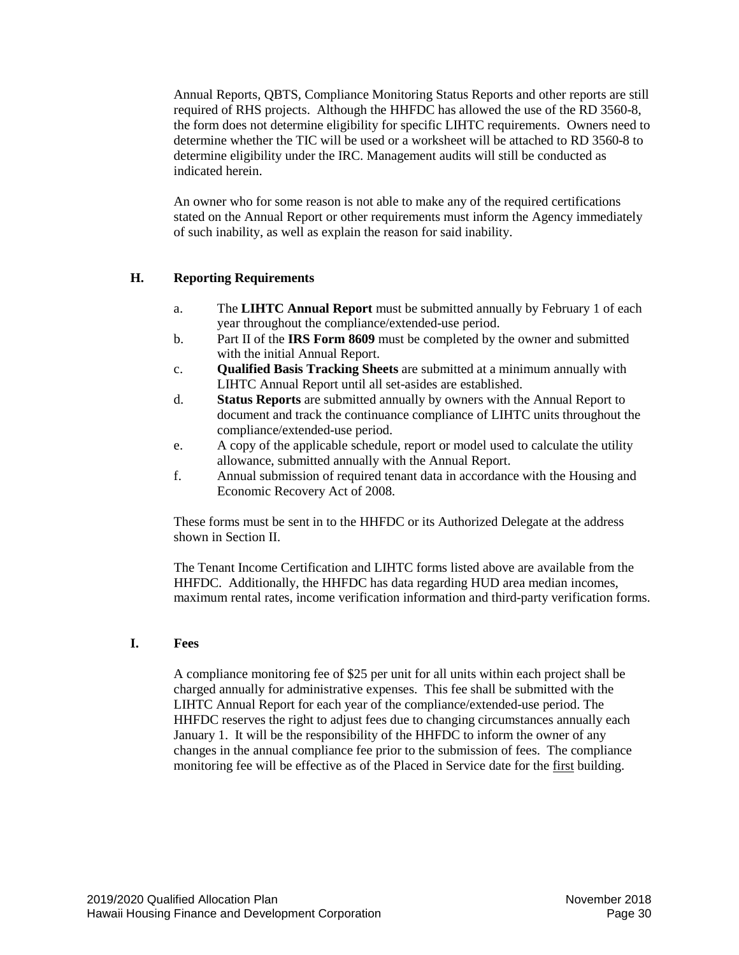Annual Reports, QBTS, Compliance Monitoring Status Reports and other reports are still required of RHS projects. Although the HHFDC has allowed the use of the RD 3560-8, the form does not determine eligibility for specific LIHTC requirements. Owners need to determine whether the TIC will be used or a worksheet will be attached to RD 3560-8 to determine eligibility under the IRC. Management audits will still be conducted as indicated herein.

An owner who for some reason is not able to make any of the required certifications stated on the Annual Report or other requirements must inform the Agency immediately of such inability, as well as explain the reason for said inability.

## <span id="page-29-0"></span>**H. Reporting Requirements**

- a. The **LIHTC Annual Report** must be submitted annually by February 1 of each year throughout the compliance/extended-use period.
- b. Part II of the **IRS Form 8609** must be completed by the owner and submitted with the initial Annual Report.
- c. **Qualified Basis Tracking Sheets** are submitted at a minimum annually with LIHTC Annual Report until all set-asides are established.
- d. **Status Reports** are submitted annually by owners with the Annual Report to document and track the continuance compliance of LIHTC units throughout the compliance/extended-use period.
- e. A copy of the applicable schedule, report or model used to calculate the utility allowance, submitted annually with the Annual Report.
- f. Annual submission of required tenant data in accordance with the Housing and Economic Recovery Act of 2008.

These forms must be sent in to the HHFDC or its Authorized Delegate at the address shown in Section II.

The Tenant Income Certification and LIHTC forms listed above are available from the HHFDC. Additionally, the HHFDC has data regarding HUD area median incomes, maximum rental rates, income verification information and third-party verification forms.

## <span id="page-29-1"></span>**I. Fees**

A compliance monitoring fee of \$25 per unit for all units within each project shall be charged annually for administrative expenses. This fee shall be submitted with the LIHTC Annual Report for each year of the compliance/extended-use period. The HHFDC reserves the right to adjust fees due to changing circumstances annually each January 1. It will be the responsibility of the HHFDC to inform the owner of any changes in the annual compliance fee prior to the submission of fees. The compliance monitoring fee will be effective as of the Placed in Service date for the first building.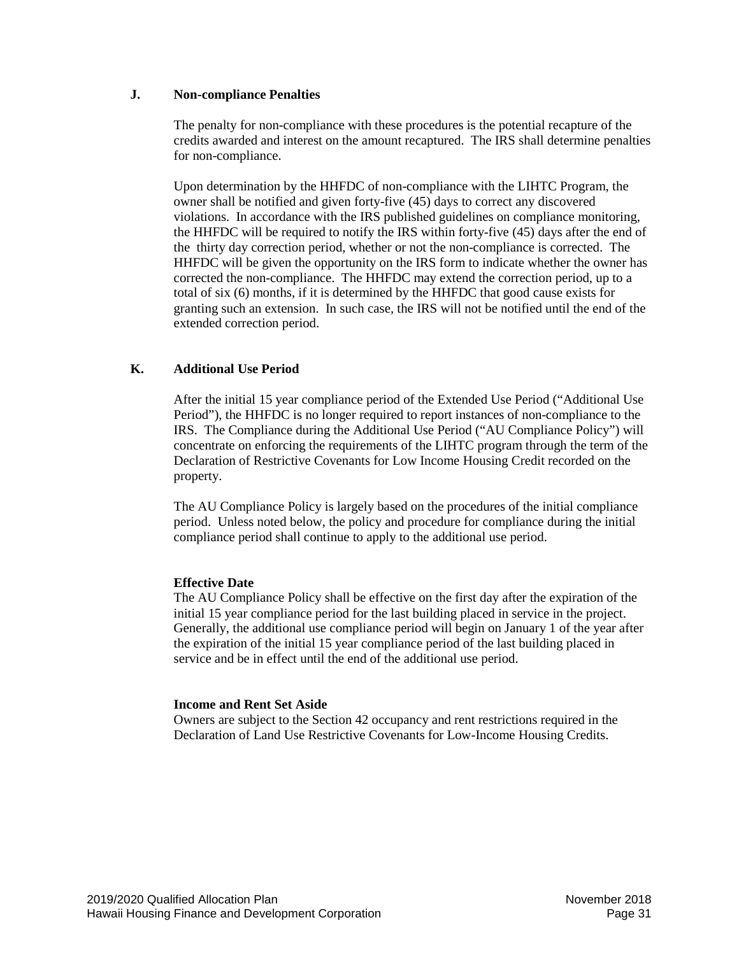## <span id="page-30-0"></span>**J. Non-compliance Penalties**

The penalty for non-compliance with these procedures is the potential recapture of the credits awarded and interest on the amount recaptured. The IRS shall determine penalties for non-compliance.

Upon determination by the HHFDC of non-compliance with the LIHTC Program, the owner shall be notified and given forty-five (45) days to correct any discovered violations. In accordance with the IRS published guidelines on compliance monitoring, the HHFDC will be required to notify the IRS within forty-five (45) days after the end of the thirty day correction period, whether or not the non-compliance is corrected. The HHFDC will be given the opportunity on the IRS form to indicate whether the owner has corrected the non-compliance. The HHFDC may extend the correction period, up to a total of six (6) months, if it is determined by the HHFDC that good cause exists for granting such an extension. In such case, the IRS will not be notified until the end of the extended correction period.

# <span id="page-30-1"></span>**K. Additional Use Period**

After the initial 15 year compliance period of the Extended Use Period ("Additional Use Period"), the HHFDC is no longer required to report instances of non-compliance to the IRS. The Compliance during the Additional Use Period ("AU Compliance Policy") will concentrate on enforcing the requirements of the LIHTC program through the term of the Declaration of Restrictive Covenants for Low Income Housing Credit recorded on the property.

The AU Compliance Policy is largely based on the procedures of the initial compliance period. Unless noted below, the policy and procedure for compliance during the initial compliance period shall continue to apply to the additional use period.

# **Effective Date**

The AU Compliance Policy shall be effective on the first day after the expiration of the initial 15 year compliance period for the last building placed in service in the project. Generally, the additional use compliance period will begin on January 1 of the year after the expiration of the initial 15 year compliance period of the last building placed in service and be in effect until the end of the additional use period.

# **Income and Rent Set Aside**

Owners are subject to the Section 42 occupancy and rent restrictions required in the Declaration of Land Use Restrictive Covenants for Low-Income Housing Credits.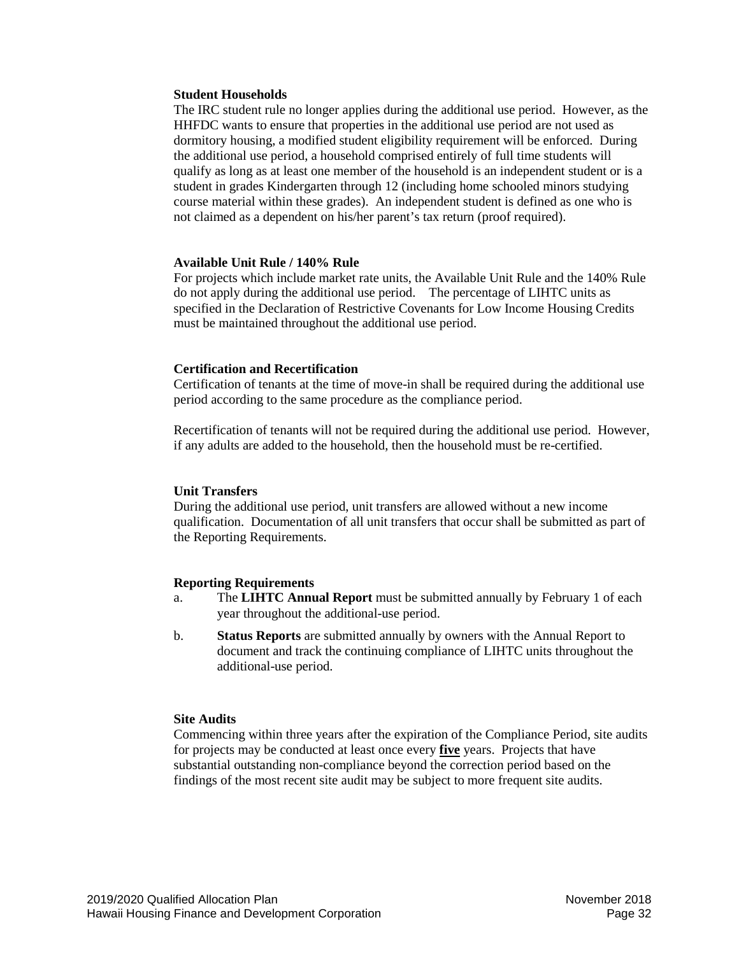#### **Student Households**

The IRC student rule no longer applies during the additional use period. However, as the HHFDC wants to ensure that properties in the additional use period are not used as dormitory housing, a modified student eligibility requirement will be enforced. During the additional use period, a household comprised entirely of full time students will qualify as long as at least one member of the household is an independent student or is a student in grades Kindergarten through 12 (including home schooled minors studying course material within these grades). An independent student is defined as one who is not claimed as a dependent on his/her parent's tax return (proof required).

#### **Available Unit Rule / 140% Rule**

For projects which include market rate units, the Available Unit Rule and the 140% Rule do not apply during the additional use period. The percentage of LIHTC units as specified in the Declaration of Restrictive Covenants for Low Income Housing Credits must be maintained throughout the additional use period.

#### **Certification and Recertification**

Certification of tenants at the time of move-in shall be required during the additional use period according to the same procedure as the compliance period.

Recertification of tenants will not be required during the additional use period. However, if any adults are added to the household, then the household must be re-certified.

#### **Unit Transfers**

During the additional use period, unit transfers are allowed without a new income qualification. Documentation of all unit transfers that occur shall be submitted as part of the Reporting Requirements.

#### **Reporting Requirements**

- a. The **LIHTC Annual Report** must be submitted annually by February 1 of each year throughout the additional-use period.
- b. **Status Reports** are submitted annually by owners with the Annual Report to document and track the continuing compliance of LIHTC units throughout the additional-use period.

## **Site Audits**

Commencing within three years after the expiration of the Compliance Period, site audits for projects may be conducted at least once every **five** years. Projects that have substantial outstanding non-compliance beyond the correction period based on the findings of the most recent site audit may be subject to more frequent site audits.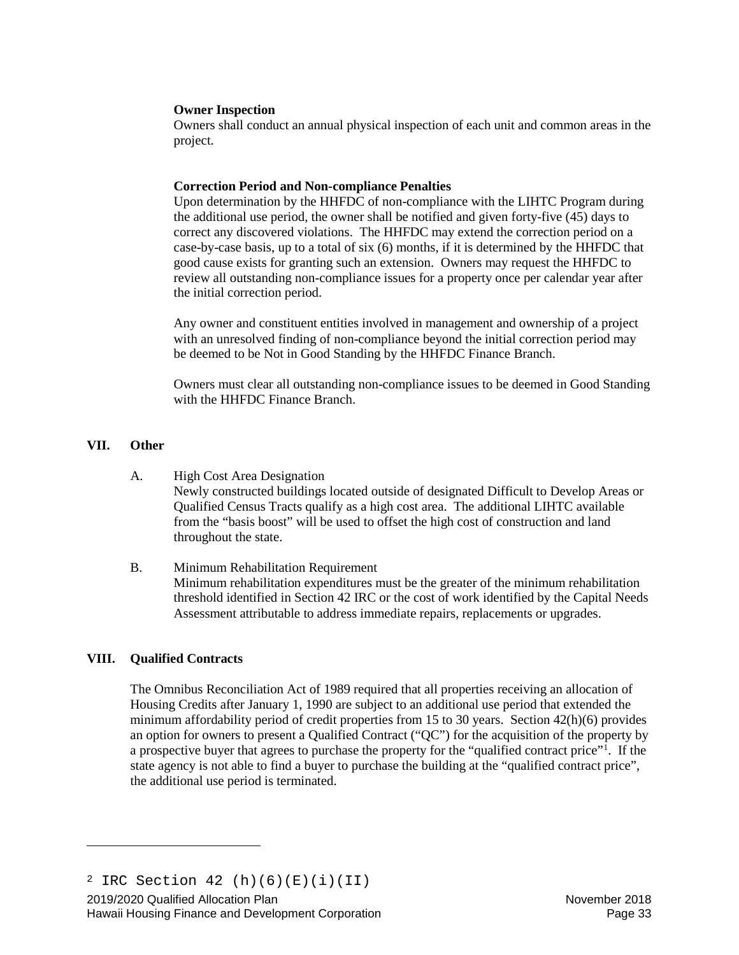## **Owner Inspection**

Owners shall conduct an annual physical inspection of each unit and common areas in the project.

#### **Correction Period and Non-compliance Penalties**

Upon determination by the HHFDC of non-compliance with the LIHTC Program during the additional use period, the owner shall be notified and given forty-five (45) days to correct any discovered violations. The HHFDC may extend the correction period on a case-by-case basis, up to a total of six (6) months, if it is determined by the HHFDC that good cause exists for granting such an extension. Owners may request the HHFDC to review all outstanding non-compliance issues for a property once per calendar year after the initial correction period.

Any owner and constituent entities involved in management and ownership of a project with an unresolved finding of non-compliance beyond the initial correction period may be deemed to be Not in Good Standing by the HHFDC Finance Branch.

Owners must clear all outstanding non-compliance issues to be deemed in Good Standing with the HHFDC Finance Branch.

## <span id="page-32-0"></span>**VII. Other**

- A. High Cost Area Designation Newly constructed buildings located outside of designated Difficult to Develop Areas or Qualified Census Tracts qualify as a high cost area. The additional LIHTC available from the "basis boost" will be used to offset the high cost of construction and land throughout the state.
- B. Minimum Rehabilitation Requirement Minimum rehabilitation expenditures must be the greater of the minimum rehabilitation threshold identified in Section 42 IRC or the cost of work identified by the Capital Needs Assessment attributable to address immediate repairs, replacements or upgrades.

## <span id="page-32-1"></span>**VIII. Qualified Contracts**

<span id="page-32-2"></span>Ĩ.

The Omnibus Reconciliation Act of 1989 required that all properties receiving an allocation of Housing Credits after January 1, 1990 are subject to an additional use period that extended the minimum affordability period of credit properties from 15 to 30 years. Section 42(h)(6) provides an option for owners to present a Qualified Contract ("QC") for the acquisition of the property by a prospective buyer that agrees to purchase the property for the "qualified contract price"[1](#page-32-2) . If the state agency is not able to find a buyer to purchase the building at the "qualified contract price", the additional use period is terminated.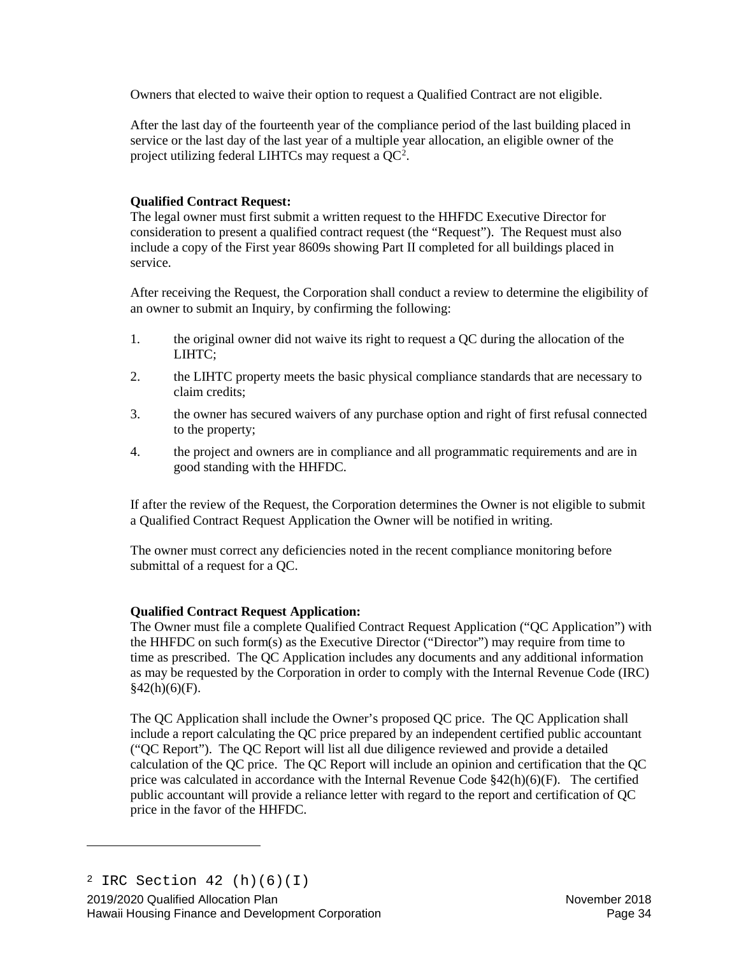Owners that elected to waive their option to request a Qualified Contract are not eligible.

After the last day of the fourteenth year of the compliance period of the last building placed in service or the last day of the last year of a multiple year allocation, an eligible owner of the project utilizing federal LIHTCs may request a  $QC^2$  $QC^2$ .

# **Qualified Contract Request:**

The legal owner must first submit a written request to the HHFDC Executive Director for consideration to present a qualified contract request (the "Request"). The Request must also include a copy of the First year 8609s showing Part II completed for all buildings placed in service.

After receiving the Request, the Corporation shall conduct a review to determine the eligibility of an owner to submit an Inquiry, by confirming the following:

- 1. the original owner did not waive its right to request a QC during the allocation of the LIHTC;
- 2. the LIHTC property meets the basic physical compliance standards that are necessary to claim credits;
- 3. the owner has secured waivers of any purchase option and right of first refusal connected to the property;
- 4. the project and owners are in compliance and all programmatic requirements and are in good standing with the HHFDC.

If after the review of the Request, the Corporation determines the Owner is not eligible to submit a Qualified Contract Request Application the Owner will be notified in writing.

The owner must correct any deficiencies noted in the recent compliance monitoring before submittal of a request for a QC.

# **Qualified Contract Request Application:**

The Owner must file a complete Qualified Contract Request Application ("QC Application") with the HHFDC on such form(s) as the Executive Director ("Director") may require from time to time as prescribed. The QC Application includes any documents and any additional information as may be requested by the Corporation in order to comply with the Internal Revenue Code (IRC)  $§42(h)(6)(F).$ 

The QC Application shall include the Owner's proposed QC price. The QC Application shall include a report calculating the QC price prepared by an independent certified public accountant ("QC Report"). The QC Report will list all due diligence reviewed and provide a detailed calculation of the QC price. The QC Report will include an opinion and certification that the QC price was calculated in accordance with the Internal Revenue Code §42(h)(6)(F). The certified public accountant will provide a reliance letter with regard to the report and certification of QC price in the favor of the HHFDC.

<span id="page-33-0"></span>Ĩ.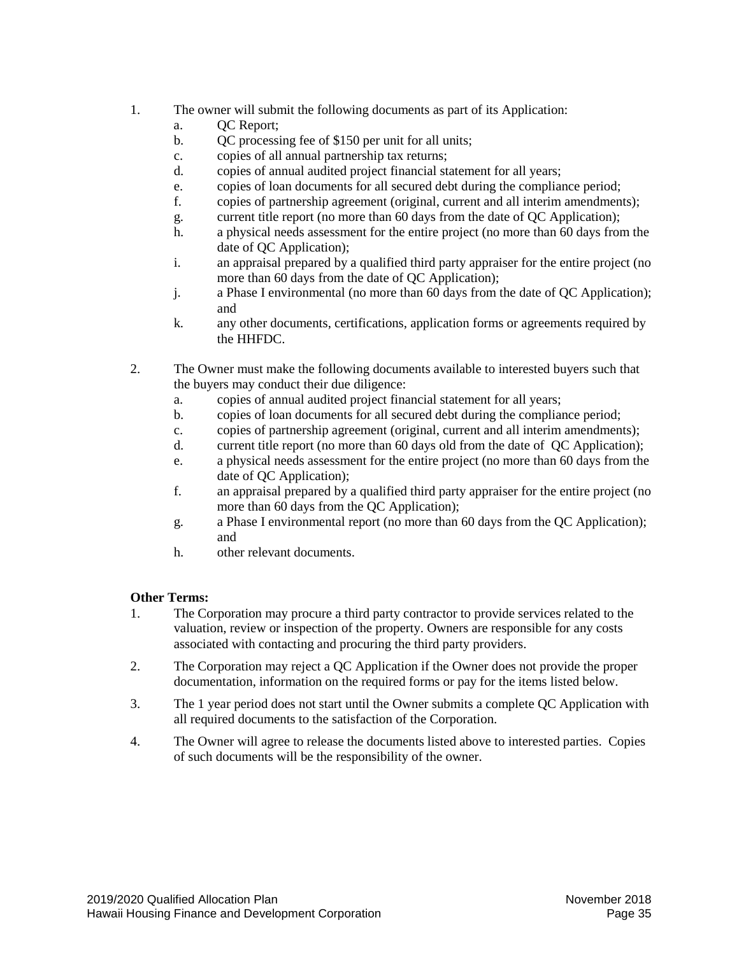- 1. The owner will submit the following documents as part of its Application:
	- a. **OC** Report;
	- b. QC processing fee of \$150 per unit for all units;
	- c. copies of all annual partnership tax returns;
	- d. copies of annual audited project financial statement for all years;
	- e. copies of loan documents for all secured debt during the compliance period;
	- f. copies of partnership agreement (original, current and all interim amendments);
	- g. current title report (no more than 60 days from the date of QC Application);
	- h. a physical needs assessment for the entire project (no more than 60 days from the date of QC Application);
	- i. an appraisal prepared by a qualified third party appraiser for the entire project (no more than 60 days from the date of QC Application);
	- j. a Phase I environmental (no more than 60 days from the date of QC Application); and
	- k. any other documents, certifications, application forms or agreements required by the HHFDC.
- 2. The Owner must make the following documents available to interested buyers such that the buyers may conduct their due diligence:
	- a. copies of annual audited project financial statement for all years;
	- b. copies of loan documents for all secured debt during the compliance period;
	- c. copies of partnership agreement (original, current and all interim amendments);
	- d. current title report (no more than 60 days old from the date of QC Application);
	- e. a physical needs assessment for the entire project (no more than 60 days from the date of QC Application);
	- f. an appraisal prepared by a qualified third party appraiser for the entire project (no more than 60 days from the QC Application);
	- g. a Phase I environmental report (no more than 60 days from the QC Application); and
	- h. other relevant documents.

# **Other Terms:**

- 1. The Corporation may procure a third party contractor to provide services related to the valuation, review or inspection of the property. Owners are responsible for any costs associated with contacting and procuring the third party providers.
- 2. The Corporation may reject a QC Application if the Owner does not provide the proper documentation, information on the required forms or pay for the items listed below.
- 3. The 1 year period does not start until the Owner submits a complete QC Application with all required documents to the satisfaction of the Corporation.
- 4. The Owner will agree to release the documents listed above to interested parties. Copies of such documents will be the responsibility of the owner.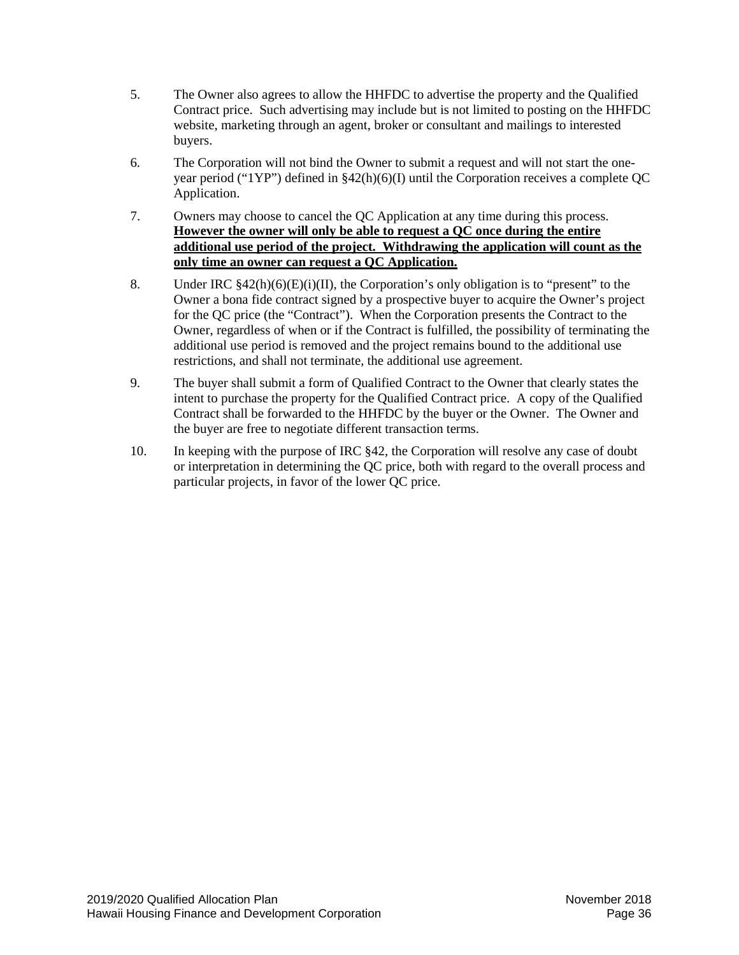- 5. The Owner also agrees to allow the HHFDC to advertise the property and the Qualified Contract price. Such advertising may include but is not limited to posting on the HHFDC website, marketing through an agent, broker or consultant and mailings to interested buyers.
- 6. The Corporation will not bind the Owner to submit a request and will not start the oneyear period ("1YP") defined in §42(h)(6)(I) until the Corporation receives a complete QC Application.
- 7. Owners may choose to cancel the QC Application at any time during this process. **However the owner will only be able to request a QC once during the entire additional use period of the project. Withdrawing the application will count as the only time an owner can request a QC Application.**
- 8. Under IRC  $\frac{842(h)(6)(E)(i)(II)}{I}$ , the Corporation's only obligation is to "present" to the Owner a bona fide contract signed by a prospective buyer to acquire the Owner's project for the QC price (the "Contract"). When the Corporation presents the Contract to the Owner, regardless of when or if the Contract is fulfilled, the possibility of terminating the additional use period is removed and the project remains bound to the additional use restrictions, and shall not terminate, the additional use agreement.
- 9. The buyer shall submit a form of Qualified Contract to the Owner that clearly states the intent to purchase the property for the Qualified Contract price. A copy of the Qualified Contract shall be forwarded to the HHFDC by the buyer or the Owner. The Owner and the buyer are free to negotiate different transaction terms.
- 10. In keeping with the purpose of IRC §42, the Corporation will resolve any case of doubt or interpretation in determining the QC price, both with regard to the overall process and particular projects, in favor of the lower QC price.